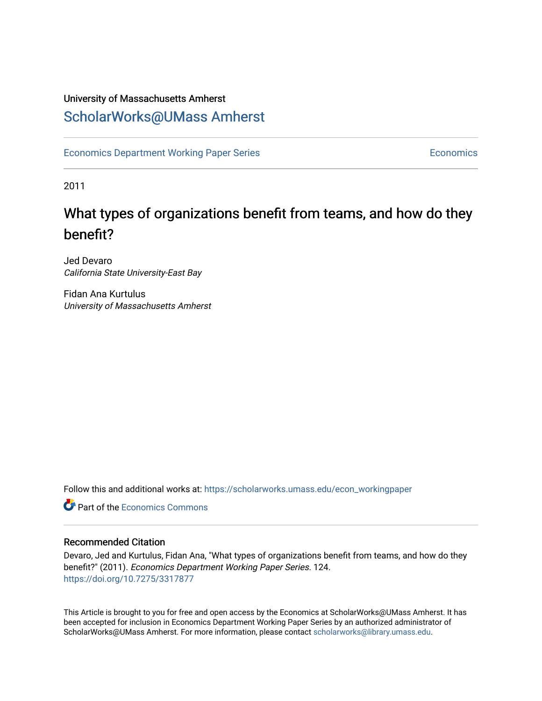### University of Massachusetts Amherst [ScholarWorks@UMass Amherst](https://scholarworks.umass.edu/)

[Economics Department Working Paper Series](https://scholarworks.umass.edu/econ_workingpaper) **Economics** Economics

2011

### What types of organizations benefit from teams, and how do they benefit?

Jed Devaro California State University-East Bay

Fidan Ana Kurtulus University of Massachusetts Amherst

Follow this and additional works at: [https://scholarworks.umass.edu/econ\\_workingpaper](https://scholarworks.umass.edu/econ_workingpaper?utm_source=scholarworks.umass.edu%2Fecon_workingpaper%2F124&utm_medium=PDF&utm_campaign=PDFCoverPages) 

**C** Part of the [Economics Commons](http://network.bepress.com/hgg/discipline/340?utm_source=scholarworks.umass.edu%2Fecon_workingpaper%2F124&utm_medium=PDF&utm_campaign=PDFCoverPages)

#### Recommended Citation

Devaro, Jed and Kurtulus, Fidan Ana, "What types of organizations benefit from teams, and how do they benefit?" (2011). Economics Department Working Paper Series. 124. <https://doi.org/10.7275/3317877>

This Article is brought to you for free and open access by the Economics at ScholarWorks@UMass Amherst. It has been accepted for inclusion in Economics Department Working Paper Series by an authorized administrator of ScholarWorks@UMass Amherst. For more information, please contact [scholarworks@library.umass.edu.](mailto:scholarworks@library.umass.edu)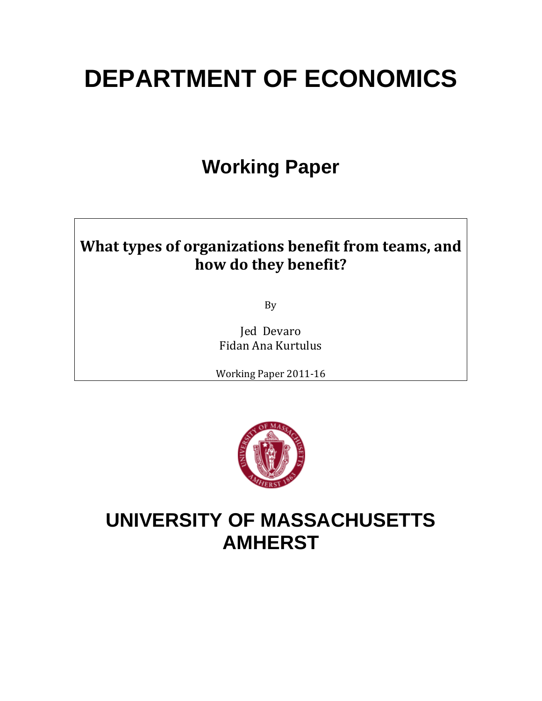# **DEPARTMENT OF ECONOMICS**

## **Working Paper**

## **What types of organizations benefit from teams, and how do they benefit?**

By

Jed Devaro Fidan Ana Kurtulus

Working Paper 2011‐16



## **UNIVERSITY OF MASSACHUSETTS AMHERST**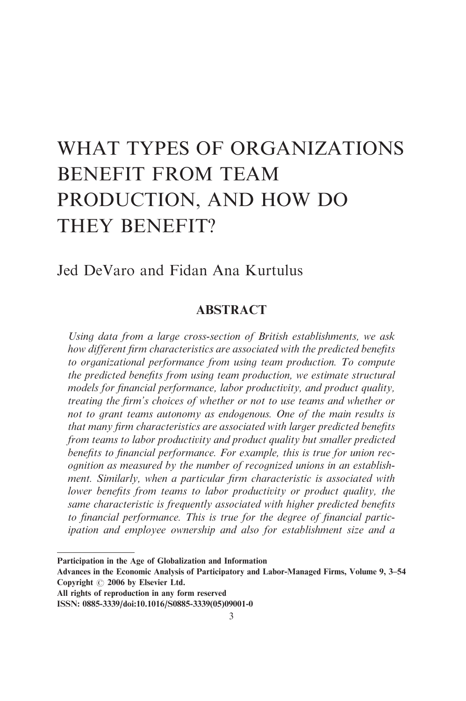## WHAT TYPES OF ORGANIZATIONS BENEFIT FROM TEAM PRODUCTION, AND HOW DO THEY BENEFIT?

#### Jed DeVaro and Fidan Ana Kurtulus

#### **ABSTRACT**

Using data from a large cross-section of British establishments, we ask how different firm characteristics are associated with the predicted benefits to organizational performance from using team production. To compute the predicted benefits from using team production, we estimate structural models for financial performance, labor productivity, and product quality, treating the firm's choices of whether or not to use teams and whether or not to grant teams autonomy as endogenous. One of the main results is that many firm characteristics are associated with larger predicted benefits from teams to labor productivity and product quality but smaller predicted benefits to financial performance. For example, this is true for union recognition as measured by the number of recognized unions in an establishment. Similarly, when a particular firm characteristic is associated with lower benefits from teams to labor productivity or product quality, the same characteristic is frequently associated with higher predicted benefits to financial performance. This is true for the degree of financial participation and employee ownership and also for establishment size and a

Participation in the Age of Globalization and Information

Advances in the Economic Analysis of Participatory and Labor-Managed Firms, Volume 9, 3–54 Copyright  $\odot$  2006 by Elsevier Ltd.

All rights of reproduction in any form reserved

ISSN: 0885-3339/doi:10.1016/S0885-3339(05)09001-0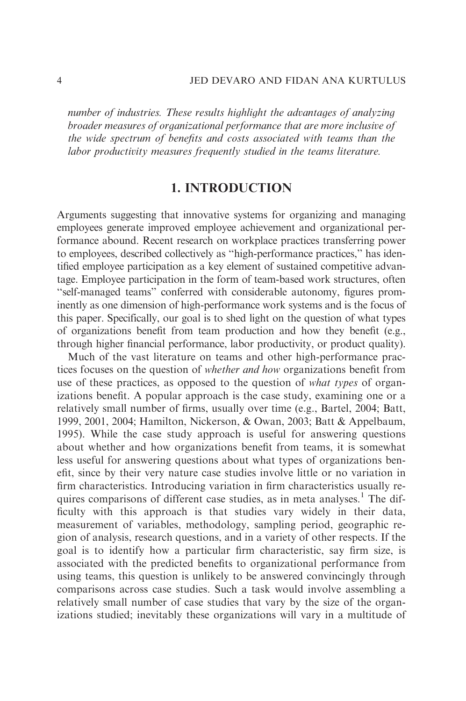number of industries. These results highlight the advantages of analyzing broader measures of organizational performance that are more inclusive of the wide spectrum of benefits and costs associated with teams than the labor productivity measures frequently studied in the teams literature.

#### 1. INTRODUCTION

Arguments suggesting that innovative systems for organizing and managing employees generate improved employee achievement and organizational performance abound. Recent research on workplace practices transferring power to employees, described collectively as ''high-performance practices,'' has identified employee participation as a key element of sustained competitive advantage. Employee participation in the form of team-based work structures, often ''self-managed teams'' conferred with considerable autonomy, figures prominently as one dimension of high-performance work systems and is the focus of this paper. Specifically, our goal is to shed light on the question of what types of organizations benefit from team production and how they benefit (e.g., through higher financial performance, labor productivity, or product quality).

Much of the vast literature on teams and other high-performance practices focuses on the question of *whether and how* organizations benefit from use of these practices, as opposed to the question of *what types* of organizations benefit. A popular approach is the case study, examining one or a relatively small number of firms, usually over time (e.g., Bartel, 2004; Batt, 1999, 2001, 2004; Hamilton, Nickerson, & Owan, 2003; Batt & Appelbaum, 1995). While the case study approach is useful for answering questions about whether and how organizations benefit from teams, it is somewhat less useful for answering questions about what types of organizations benefit, since by their very nature case studies involve little or no variation in firm characteristics. Introducing variation in firm characteristics usually requires comparisons of different case studies, as in meta analyses.<sup>1</sup> The difficulty with this approach is that studies vary widely in their data, measurement of variables, methodology, sampling period, geographic region of analysis, research questions, and in a variety of other respects. If the goal is to identify how a particular firm characteristic, say firm size, is associated with the predicted benefits to organizational performance from using teams, this question is unlikely to be answered convincingly through comparisons across case studies. Such a task would involve assembling a relatively small number of case studies that vary by the size of the organizations studied; inevitably these organizations will vary in a multitude of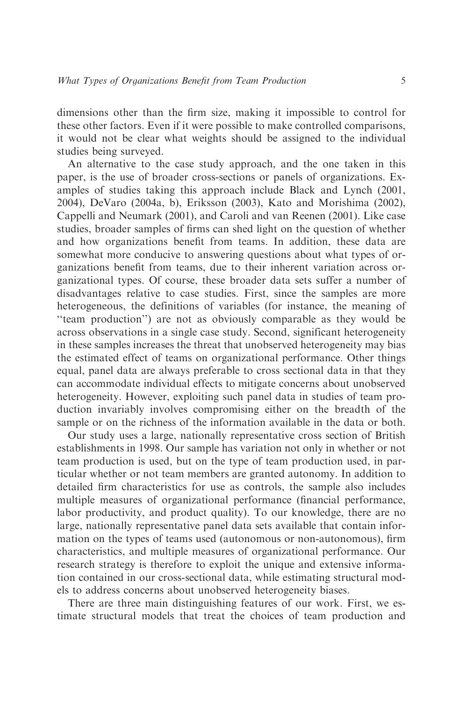dimensions other than the firm size, making it impossible to control for these other factors. Even if it were possible to make controlled comparisons, it would not be clear what weights should be assigned to the individual studies being surveyed.

An alternative to the case study approach, and the one taken in this paper, is the use of broader cross-sections or panels of organizations. Examples of studies taking this approach include Black and Lynch (2001, 2004), DeVaro (2004a, b), Eriksson (2003), Kato and Morishima (2002), Cappelli and Neumark (2001), and Caroli and van Reenen (2001). Like case studies, broader samples of firms can shed light on the question of whether and how organizations benefit from teams. In addition, these data are somewhat more conducive to answering questions about what types of organizations benefit from teams, due to their inherent variation across organizational types. Of course, these broader data sets suffer a number of disadvantages relative to case studies. First, since the samples are more heterogeneous, the definitions of variables (for instance, the meaning of ''team production'') are not as obviously comparable as they would be across observations in a single case study. Second, significant heterogeneity in these samples increases the threat that unobserved heterogeneity may bias the estimated effect of teams on organizational performance. Other things equal, panel data are always preferable to cross sectional data in that they can accommodate individual effects to mitigate concerns about unobserved heterogeneity. However, exploiting such panel data in studies of team production invariably involves compromising either on the breadth of the sample or on the richness of the information available in the data or both.

Our study uses a large, nationally representative cross section of British establishments in 1998. Our sample has variation not only in whether or not team production is used, but on the type of team production used, in particular whether or not team members are granted autonomy. In addition to detailed firm characteristics for use as controls, the sample also includes multiple measures of organizational performance (financial performance, labor productivity, and product quality). To our knowledge, there are no large, nationally representative panel data sets available that contain information on the types of teams used (autonomous or non-autonomous), firm characteristics, and multiple measures of organizational performance. Our research strategy is therefore to exploit the unique and extensive information contained in our cross-sectional data, while estimating structural models to address concerns about unobserved heterogeneity biases.

There are three main distinguishing features of our work. First, we estimate structural models that treat the choices of team production and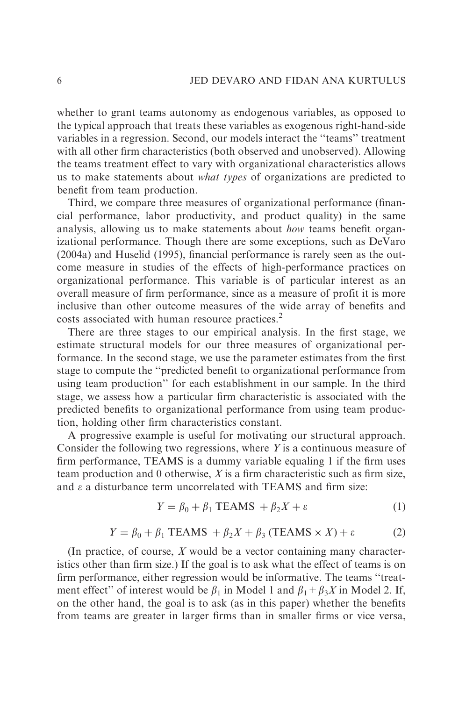whether to grant teams autonomy as endogenous variables, as opposed to the typical approach that treats these variables as exogenous right-hand-side variables in a regression. Second, our models interact the ''teams'' treatment with all other firm characteristics (both observed and unobserved). Allowing the teams treatment effect to vary with organizational characteristics allows us to make statements about what types of organizations are predicted to benefit from team production.

Third, we compare three measures of organizational performance (financial performance, labor productivity, and product quality) in the same analysis, allowing us to make statements about how teams benefit organizational performance. Though there are some exceptions, such as DeVaro (2004a) and Huselid (1995), financial performance is rarely seen as the outcome measure in studies of the effects of high-performance practices on organizational performance. This variable is of particular interest as an overall measure of firm performance, since as a measure of profit it is more inclusive than other outcome measures of the wide array of benefits and costs associated with human resource practices.<sup>2</sup>

There are three stages to our empirical analysis. In the first stage, we estimate structural models for our three measures of organizational performance. In the second stage, we use the parameter estimates from the first stage to compute the ''predicted benefit to organizational performance from using team production'' for each establishment in our sample. In the third stage, we assess how a particular firm characteristic is associated with the predicted benefits to organizational performance from using team production, holding other firm characteristics constant.

A progressive example is useful for motivating our structural approach. Consider the following two regressions, where  $Y$  is a continuous measure of firm performance, TEAMS is a dummy variable equaling 1 if the firm uses team production and 0 otherwise,  $X$  is a firm characteristic such as firm size, and e a disturbance term uncorrelated with TEAMS and firm size:

$$
Y = \beta_0 + \beta_1 \text{ TEAMS} + \beta_2 X + \varepsilon \tag{1}
$$

$$
Y = \beta_0 + \beta_1 \text{ TEAMS} + \beta_2 X + \beta_3 (\text{TEAMS} \times X) + \varepsilon \tag{2}
$$

(In practice, of course,  $X$  would be a vector containing many characteristics other than firm size.) If the goal is to ask what the effect of teams is on firm performance, either regression would be informative. The teams ''treatment effect" of interest would be  $\beta_1$  in Model 1 and  $\beta_1 + \beta_3 X$  in Model 2. If, on the other hand, the goal is to ask (as in this paper) whether the benefits from teams are greater in larger firms than in smaller firms or vice versa,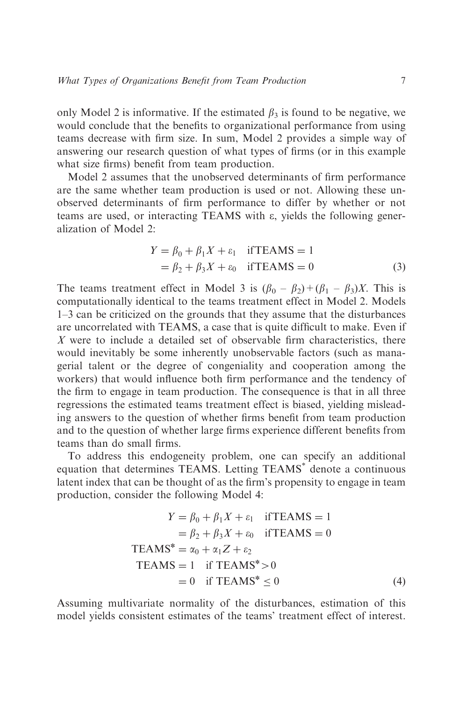only Model 2 is informative. If the estimated  $\beta_3$  is found to be negative, we would conclude that the benefits to organizational performance from using teams decrease with firm size. In sum, Model 2 provides a simple way of answering our research question of what types of firms (or in this example what size firms) benefit from team production.

Model 2 assumes that the unobserved determinants of firm performance are the same whether team production is used or not. Allowing these unobserved determinants of firm performance to differ by whether or not teams are used, or interacting TEAMS with e, yields the following generalization of Model 2:

$$
Y = \beta_0 + \beta_1 X + \varepsilon_1 \quad \text{if TEAMS} = 1
$$
  
=  $\beta_2 + \beta_3 X + \varepsilon_0 \quad \text{if TEAMS} = 0$  (3)

The teams treatment effect in Model 3 is  $(\beta_0 - \beta_2) + (\beta_1 - \beta_3)X$ . This is computationally identical to the teams treatment effect in Model 2. Models 1–3 can be criticized on the grounds that they assume that the disturbances are uncorrelated with TEAMS, a case that is quite difficult to make. Even if X were to include a detailed set of observable firm characteristics, there would inevitably be some inherently unobservable factors (such as managerial talent or the degree of congeniality and cooperation among the workers) that would influence both firm performance and the tendency of the firm to engage in team production. The consequence is that in all three regressions the estimated teams treatment effect is biased, yielding misleading answers to the question of whether firms benefit from team production and to the question of whether large firms experience different benefits from teams than do small firms.

To address this endogeneity problem, one can specify an additional equation that determines TEAMS. Letting TEAMS\* denote a continuous latent index that can be thought of as the firm's propensity to engage in team production, consider the following Model 4:

$$
Y = \beta_0 + \beta_1 X + \varepsilon_1 \quad \text{if TEAMS} = 1
$$
  
=  $\beta_2 + \beta_3 X + \varepsilon_0 \quad \text{if TEAMS} = 0$   
TEAMS\* =  $\alpha_0 + \alpha_1 Z + \varepsilon_2$   
TEAMS = 1 if TEAMS\* > 0  
= 0 if TEAMS\* \le 0 (4)

Assuming multivariate normality of the disturbances, estimation of this model yields consistent estimates of the teams' treatment effect of interest.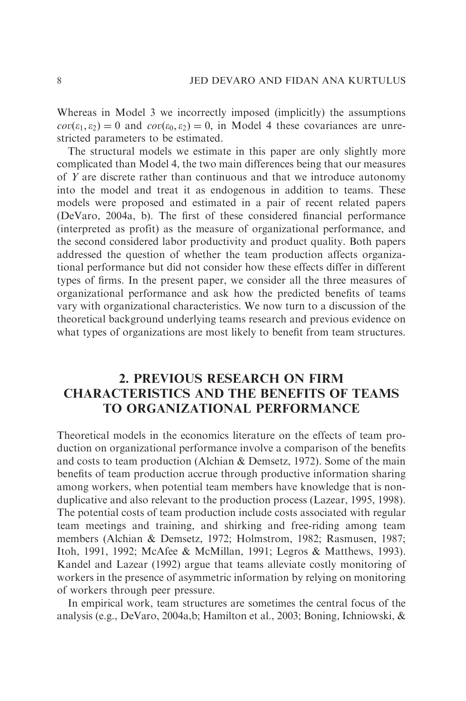Whereas in Model 3 we incorrectly imposed (implicitly) the assumptions  $cov(\varepsilon_1, \varepsilon_2) = 0$  and  $cov(\varepsilon_0, \varepsilon_2) = 0$ , in Model 4 these covariances are unrestricted parameters to be estimated.

The structural models we estimate in this paper are only slightly more complicated than Model 4, the two main differences being that our measures of Y are discrete rather than continuous and that we introduce autonomy into the model and treat it as endogenous in addition to teams. These models were proposed and estimated in a pair of recent related papers (DeVaro, 2004a, b). The first of these considered financial performance (interpreted as profit) as the measure of organizational performance, and the second considered labor productivity and product quality. Both papers addressed the question of whether the team production affects organizational performance but did not consider how these effects differ in different types of firms. In the present paper, we consider all the three measures of organizational performance and ask how the predicted benefits of teams vary with organizational characteristics. We now turn to a discussion of the theoretical background underlying teams research and previous evidence on what types of organizations are most likely to benefit from team structures.

#### 2. PREVIOUS RESEARCH ON FIRM CHARACTERISTICS AND THE BENEFITS OF TEAMS TO ORGANIZATIONAL PERFORMANCE

Theoretical models in the economics literature on the effects of team production on organizational performance involve a comparison of the benefits and costs to team production (Alchian & Demsetz, 1972). Some of the main benefits of team production accrue through productive information sharing among workers, when potential team members have knowledge that is nonduplicative and also relevant to the production process (Lazear, 1995, 1998). The potential costs of team production include costs associated with regular team meetings and training, and shirking and free-riding among team members (Alchian & Demsetz, 1972; Holmstrom, 1982; Rasmusen, 1987; Itoh, 1991, 1992; McAfee & McMillan, 1991; Legros & Matthews, 1993). Kandel and Lazear (1992) argue that teams alleviate costly monitoring of workers in the presence of asymmetric information by relying on monitoring of workers through peer pressure.

In empirical work, team structures are sometimes the central focus of the analysis (e.g., DeVaro, 2004a,b; Hamilton et al., 2003; Boning, Ichniowski, &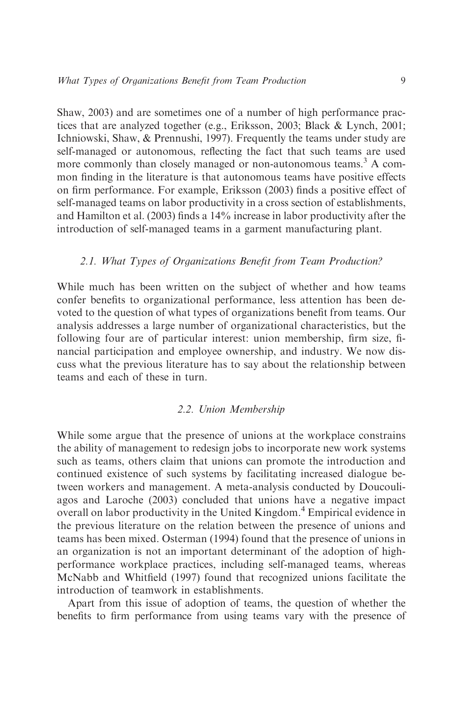Shaw, 2003) and are sometimes one of a number of high performance practices that are analyzed together (e.g., Eriksson, 2003; Black & Lynch, 2001; Ichniowski, Shaw, & Prennushi, 1997). Frequently the teams under study are self-managed or autonomous, reflecting the fact that such teams are used more commonly than closely managed or non-autonomous teams.<sup>3</sup> A common finding in the literature is that autonomous teams have positive effects on firm performance. For example, Eriksson (2003) finds a positive effect of self-managed teams on labor productivity in a cross section of establishments, and Hamilton et al. (2003) finds a 14% increase in labor productivity after the introduction of self-managed teams in a garment manufacturing plant.

#### 2.1. What Types of Organizations Benefit from Team Production?

While much has been written on the subject of whether and how teams confer benefits to organizational performance, less attention has been devoted to the question of what types of organizations benefit from teams. Our analysis addresses a large number of organizational characteristics, but the following four are of particular interest: union membership, firm size, financial participation and employee ownership, and industry. We now discuss what the previous literature has to say about the relationship between teams and each of these in turn.

#### 2.2. Union Membership

While some argue that the presence of unions at the workplace constrains the ability of management to redesign jobs to incorporate new work systems such as teams, others claim that unions can promote the introduction and continued existence of such systems by facilitating increased dialogue between workers and management. A meta-analysis conducted by Doucouliagos and Laroche (2003) concluded that unions have a negative impact overall on labor productivity in the United Kingdom.<sup>4</sup> Empirical evidence in the previous literature on the relation between the presence of unions and teams has been mixed. Osterman (1994) found that the presence of unions in an organization is not an important determinant of the adoption of highperformance workplace practices, including self-managed teams, whereas McNabb and Whitfield (1997) found that recognized unions facilitate the introduction of teamwork in establishments.

Apart from this issue of adoption of teams, the question of whether the benefits to firm performance from using teams vary with the presence of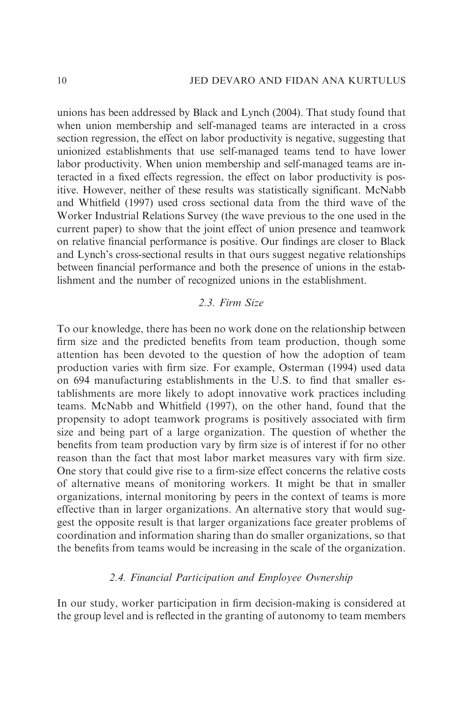unions has been addressed by Black and Lynch (2004). That study found that when union membership and self-managed teams are interacted in a cross section regression, the effect on labor productivity is negative, suggesting that unionized establishments that use self-managed teams tend to have lower labor productivity. When union membership and self-managed teams are interacted in a fixed effects regression, the effect on labor productivity is positive. However, neither of these results was statistically significant. McNabb and Whitfield (1997) used cross sectional data from the third wave of the Worker Industrial Relations Survey (the wave previous to the one used in the current paper) to show that the joint effect of union presence and teamwork on relative financial performance is positive. Our findings are closer to Black and Lynch's cross-sectional results in that ours suggest negative relationships between financial performance and both the presence of unions in the establishment and the number of recognized unions in the establishment.

#### 2.3. Firm Size

To our knowledge, there has been no work done on the relationship between firm size and the predicted benefits from team production, though some attention has been devoted to the question of how the adoption of team production varies with firm size. For example, Osterman (1994) used data on 694 manufacturing establishments in the U.S. to find that smaller establishments are more likely to adopt innovative work practices including teams. McNabb and Whitfield (1997), on the other hand, found that the propensity to adopt teamwork programs is positively associated with firm size and being part of a large organization. The question of whether the benefits from team production vary by firm size is of interest if for no other reason than the fact that most labor market measures vary with firm size. One story that could give rise to a firm-size effect concerns the relative costs of alternative means of monitoring workers. It might be that in smaller organizations, internal monitoring by peers in the context of teams is more effective than in larger organizations. An alternative story that would suggest the opposite result is that larger organizations face greater problems of coordination and information sharing than do smaller organizations, so that the benefits from teams would be increasing in the scale of the organization.

#### 2.4. Financial Participation and Employee Ownership

In our study, worker participation in firm decision-making is considered at the group level and is reflected in the granting of autonomy to team members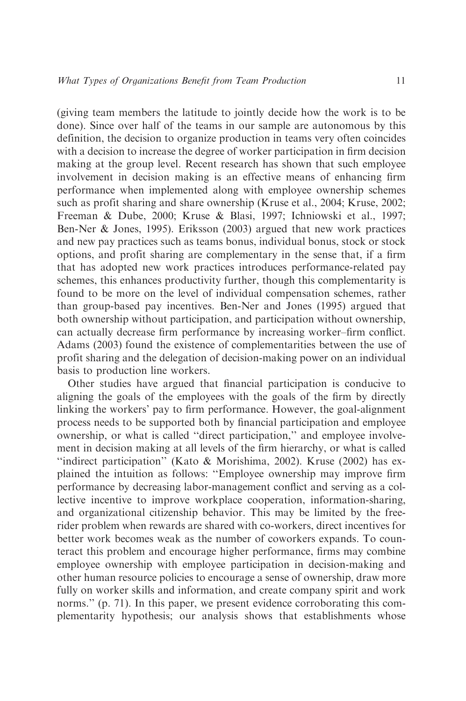(giving team members the latitude to jointly decide how the work is to be done). Since over half of the teams in our sample are autonomous by this definition, the decision to organize production in teams very often coincides with a decision to increase the degree of worker participation in firm decision making at the group level. Recent research has shown that such employee involvement in decision making is an effective means of enhancing firm performance when implemented along with employee ownership schemes such as profit sharing and share ownership (Kruse et al., 2004; Kruse, 2002; Freeman & Dube, 2000; Kruse & Blasi, 1997; Ichniowski et al., 1997; Ben-Ner & Jones, 1995). Eriksson (2003) argued that new work practices and new pay practices such as teams bonus, individual bonus, stock or stock options, and profit sharing are complementary in the sense that, if a firm that has adopted new work practices introduces performance-related pay schemes, this enhances productivity further, though this complementarity is found to be more on the level of individual compensation schemes, rather than group-based pay incentives. Ben-Ner and Jones (1995) argued that both ownership without participation, and participation without ownership, can actually decrease firm performance by increasing worker–firm conflict. Adams (2003) found the existence of complementarities between the use of profit sharing and the delegation of decision-making power on an individual basis to production line workers.

Other studies have argued that financial participation is conducive to aligning the goals of the employees with the goals of the firm by directly linking the workers' pay to firm performance. However, the goal-alignment process needs to be supported both by financial participation and employee ownership, or what is called ''direct participation,'' and employee involvement in decision making at all levels of the firm hierarchy, or what is called ''indirect participation'' (Kato & Morishima, 2002). Kruse (2002) has explained the intuition as follows: ''Employee ownership may improve firm performance by decreasing labor-management conflict and serving as a collective incentive to improve workplace cooperation, information-sharing, and organizational citizenship behavior. This may be limited by the freerider problem when rewards are shared with co-workers, direct incentives for better work becomes weak as the number of coworkers expands. To counteract this problem and encourage higher performance, firms may combine employee ownership with employee participation in decision-making and other human resource policies to encourage a sense of ownership, draw more fully on worker skills and information, and create company spirit and work norms.'' (p. 71). In this paper, we present evidence corroborating this complementarity hypothesis; our analysis shows that establishments whose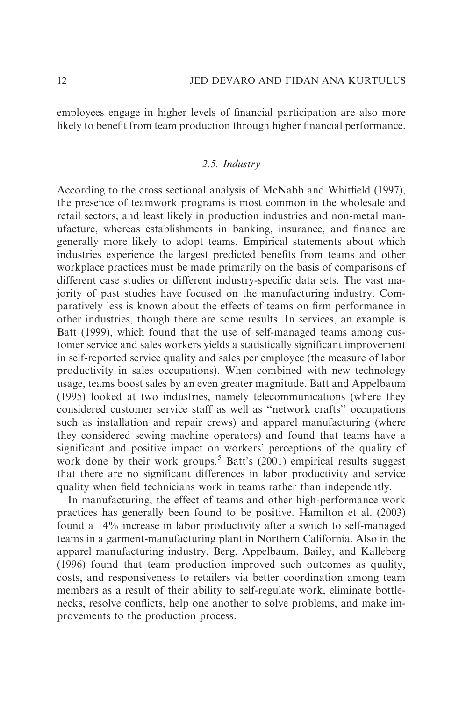employees engage in higher levels of financial participation are also more likely to benefit from team production through higher financial performance.

#### 2.5. Industry

According to the cross sectional analysis of McNabb and Whitfield (1997), the presence of teamwork programs is most common in the wholesale and retail sectors, and least likely in production industries and non-metal manufacture, whereas establishments in banking, insurance, and finance are generally more likely to adopt teams. Empirical statements about which industries experience the largest predicted benefits from teams and other workplace practices must be made primarily on the basis of comparisons of different case studies or different industry-specific data sets. The vast majority of past studies have focused on the manufacturing industry. Comparatively less is known about the effects of teams on firm performance in other industries, though there are some results. In services, an example is Batt (1999), which found that the use of self-managed teams among customer service and sales workers yields a statistically significant improvement in self-reported service quality and sales per employee (the measure of labor productivity in sales occupations). When combined with new technology usage, teams boost sales by an even greater magnitude. Batt and Appelbaum (1995) looked at two industries, namely telecommunications (where they considered customer service staff as well as ''network crafts'' occupations such as installation and repair crews) and apparel manufacturing (where they considered sewing machine operators) and found that teams have a significant and positive impact on workers' perceptions of the quality of work done by their work groups.<sup>5</sup> Batt's (2001) empirical results suggest that there are no significant differences in labor productivity and service quality when field technicians work in teams rather than independently.

In manufacturing, the effect of teams and other high-performance work practices has generally been found to be positive. Hamilton et al. (2003) found a 14% increase in labor productivity after a switch to self-managed teams in a garment-manufacturing plant in Northern California. Also in the apparel manufacturing industry, Berg, Appelbaum, Bailey, and Kalleberg (1996) found that team production improved such outcomes as quality, costs, and responsiveness to retailers via better coordination among team members as a result of their ability to self-regulate work, eliminate bottlenecks, resolve conflicts, help one another to solve problems, and make improvements to the production process.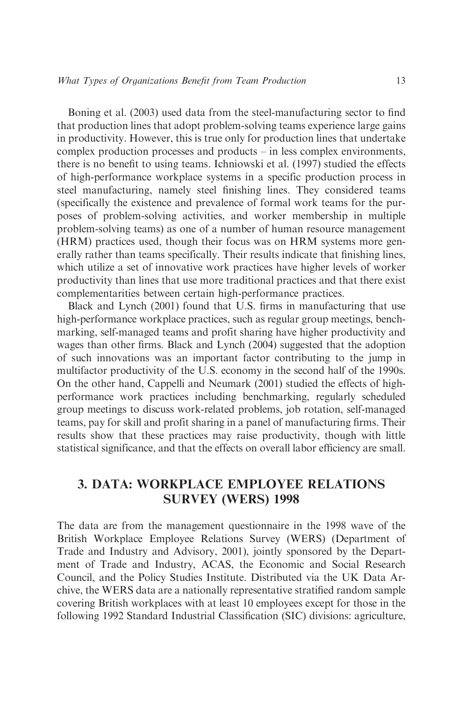Boning et al. (2003) used data from the steel-manufacturing sector to find that production lines that adopt problem-solving teams experience large gains in productivity. However, this is true only for production lines that undertake complex production processes and products – in less complex environments, there is no benefit to using teams. Ichniowski et al. (1997) studied the effects of high-performance workplace systems in a specific production process in steel manufacturing, namely steel finishing lines. They considered teams (specifically the existence and prevalence of formal work teams for the purposes of problem-solving activities, and worker membership in multiple problem-solving teams) as one of a number of human resource management (HRM) practices used, though their focus was on HRM systems more generally rather than teams specifically. Their results indicate that finishing lines, which utilize a set of innovative work practices have higher levels of worker productivity than lines that use more traditional practices and that there exist complementarities between certain high-performance practices.

Black and Lynch (2001) found that U.S. firms in manufacturing that use high-performance workplace practices, such as regular group meetings, benchmarking, self-managed teams and profit sharing have higher productivity and wages than other firms. Black and Lynch (2004) suggested that the adoption of such innovations was an important factor contributing to the jump in multifactor productivity of the U.S. economy in the second half of the 1990s. On the other hand, Cappelli and Neumark (2001) studied the effects of highperformance work practices including benchmarking, regularly scheduled group meetings to discuss work-related problems, job rotation, self-managed teams, pay for skill and profit sharing in a panel of manufacturing firms. Their results show that these practices may raise productivity, though with little statistical significance, and that the effects on overall labor efficiency are small.

#### 3. DATA: WORKPLACE EMPLOYEE RELATIONS SURVEY (WERS) 1998

The data are from the management questionnaire in the 1998 wave of the British Workplace Employee Relations Survey (WERS) (Department of Trade and Industry and Advisory, 2001), jointly sponsored by the Department of Trade and Industry, ACAS, the Economic and Social Research Council, and the Policy Studies Institute. Distributed via the UK Data Archive, the WERS data are a nationally representative stratified random sample covering British workplaces with at least 10 employees except for those in the following 1992 Standard Industrial Classification (SIC) divisions: agriculture,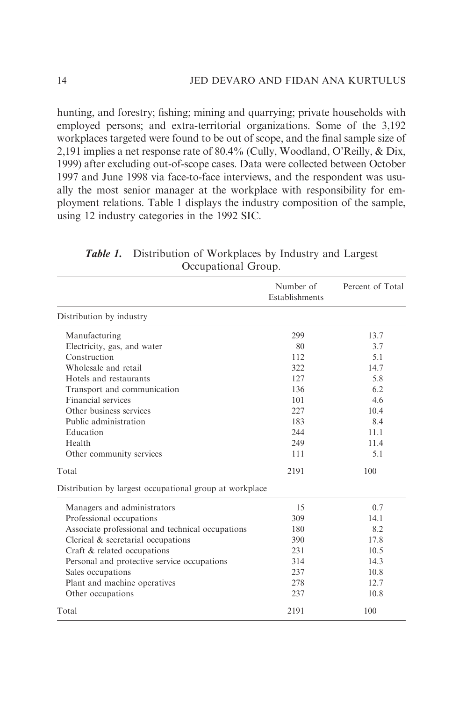hunting, and forestry; fishing; mining and quarrying; private households with employed persons; and extra-territorial organizations. Some of the 3,192 workplaces targeted were found to be out of scope, and the final sample size of 2,191 implies a net response rate of 80.4% (Cully, Woodland, O'Reilly, & Dix, 1999) after excluding out-of-scope cases. Data were collected between October 1997 and June 1998 via face-to-face interviews, and the respondent was usually the most senior manager at the workplace with responsibility for employment relations. Table 1 displays the industry composition of the sample, using 12 industry categories in the 1992 SIC.

|                                                         | Number of<br>Establishments | Percent of Total |
|---------------------------------------------------------|-----------------------------|------------------|
| Distribution by industry                                |                             |                  |
| Manufacturing                                           | 299                         | 13.7             |
| Electricity, gas, and water                             | 80                          | 3.7              |
| Construction                                            | 112                         | 5.1              |
| Wholesale and retail                                    | 322                         | 14.7             |
| Hotels and restaurants                                  | 127                         | 5.8              |
| Transport and communication                             | 136                         | 6.2              |
| Financial services                                      | 101                         | 46               |
| Other business services                                 | 227                         | 10.4             |
| Public administration                                   | 183                         | 8.4              |
| Education                                               | 244                         | 11.1             |
| Health                                                  | 249                         | 11.4             |
| Other community services                                | 111                         | 5.1              |
| Total                                                   | 2191                        | 100              |
| Distribution by largest occupational group at workplace |                             |                  |
| Managers and administrators                             | 15                          | 0.7              |
| Professional occupations                                | 309                         | 14.1             |
| Associate professional and technical occupations        | 180                         | 8.2              |
| Clerical & secretarial occupations                      | 390                         | 17.8             |
| Craft & related occupations                             | 231                         | 10.5             |
| Personal and protective service occupations             | 314                         | 14.3             |
| Sales occupations                                       | 237                         | 10.8             |
| Plant and machine operatives                            | 278                         | 12.7             |
| Other occupations                                       | 237                         | 10.8             |
| Total                                                   | 2191                        | 100              |

Table 1. Distribution of Workplaces by Industry and Largest Occupational Group.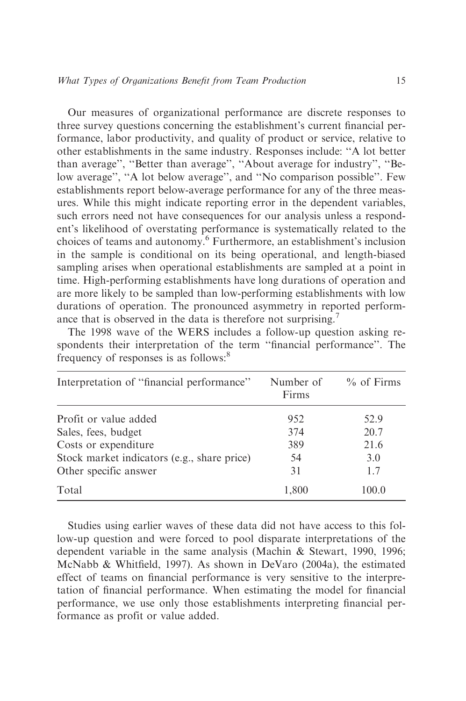Our measures of organizational performance are discrete responses to three survey questions concerning the establishment's current financial performance, labor productivity, and quality of product or service, relative to other establishments in the same industry. Responses include: ''A lot better than average'', ''Better than average'', ''About average for industry'', ''Below average'', ''A lot below average'', and ''No comparison possible''. Few establishments report below-average performance for any of the three measures. While this might indicate reporting error in the dependent variables, such errors need not have consequences for our analysis unless a respondent's likelihood of overstating performance is systematically related to the choices of teams and autonomy.6 Furthermore, an establishment's inclusion in the sample is conditional on its being operational, and length-biased sampling arises when operational establishments are sampled at a point in time. High-performing establishments have long durations of operation and are more likely to be sampled than low-performing establishments with low durations of operation. The pronounced asymmetry in reported performance that is observed in the data is therefore not surprising.<sup>7</sup>

The 1998 wave of the WERS includes a follow-up question asking respondents their interpretation of the term ''financial performance''. The frequency of responses is as follows:<sup>8</sup>

| Interpretation of "financial performance"   | Number of<br>Firms | $\%$ of Firms |
|---------------------------------------------|--------------------|---------------|
| Profit or value added                       | 952                | 52.9          |
| Sales, fees, budget                         | 374                | 20.7          |
| Costs or expenditure                        | 389                | 21.6          |
| Stock market indicators (e.g., share price) | 54                 | 3.0           |
| Other specific answer                       | 31                 | 1.7           |
| Total                                       | 1,800              | 100.0         |

Studies using earlier waves of these data did not have access to this follow-up question and were forced to pool disparate interpretations of the dependent variable in the same analysis (Machin & Stewart, 1990, 1996; McNabb & Whitfield, 1997). As shown in DeVaro (2004a), the estimated effect of teams on financial performance is very sensitive to the interpretation of financial performance. When estimating the model for financial performance, we use only those establishments interpreting financial performance as profit or value added.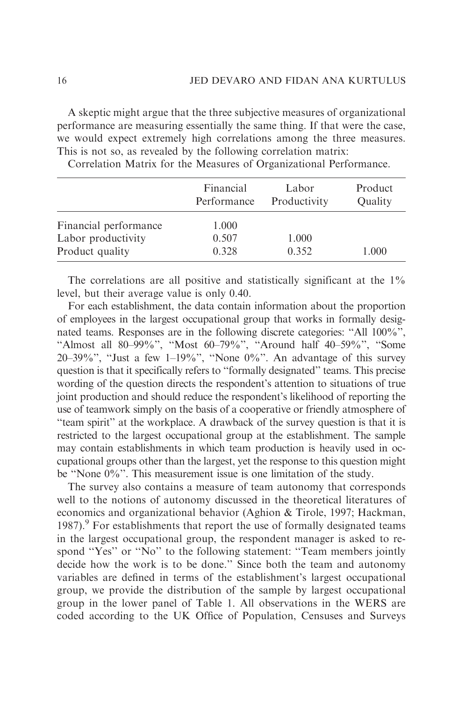A skeptic might argue that the three subjective measures of organizational performance are measuring essentially the same thing. If that were the case, we would expect extremely high correlations among the three measures. This is not so, as revealed by the following correlation matrix:

|                       | Financial<br>Performance | Labor<br>Productivity | Product<br>Quality |
|-----------------------|--------------------------|-----------------------|--------------------|
| Financial performance | 1.000                    |                       |                    |
| Labor productivity    | 0.507                    | 1.000                 |                    |
| Product quality       | 0.328                    | 0.352                 | 1.000              |

Correlation Matrix for the Measures of Organizational Performance.

The correlations are all positive and statistically significant at the  $1\%$ level, but their average value is only 0.40.

For each establishment, the data contain information about the proportion of employees in the largest occupational group that works in formally designated teams. Responses are in the following discrete categories: ''All 100%'', ''Almost all 80–99%'', ''Most 60–79%'', ''Around half 40–59%'', ''Some  $20-39\%$ ", "Just a few  $1-19\%$ ", "None  $0\%$ ". An advantage of this survey question is that it specifically refers to ''formally designated'' teams. This precise wording of the question directs the respondent's attention to situations of true joint production and should reduce the respondent's likelihood of reporting the use of teamwork simply on the basis of a cooperative or friendly atmosphere of ''team spirit'' at the workplace. A drawback of the survey question is that it is restricted to the largest occupational group at the establishment. The sample may contain establishments in which team production is heavily used in occupational groups other than the largest, yet the response to this question might be ''None 0%''. This measurement issue is one limitation of the study.

The survey also contains a measure of team autonomy that corresponds well to the notions of autonomy discussed in the theoretical literatures of economics and organizational behavior (Aghion & Tirole, 1997; Hackman, 1987).  $\degree$  For establishments that report the use of formally designated teams in the largest occupational group, the respondent manager is asked to respond ''Yes'' or ''No'' to the following statement: ''Team members jointly decide how the work is to be done.'' Since both the team and autonomy variables are defined in terms of the establishment's largest occupational group, we provide the distribution of the sample by largest occupational group in the lower panel of Table 1. All observations in the WERS are coded according to the UK Office of Population, Censuses and Surveys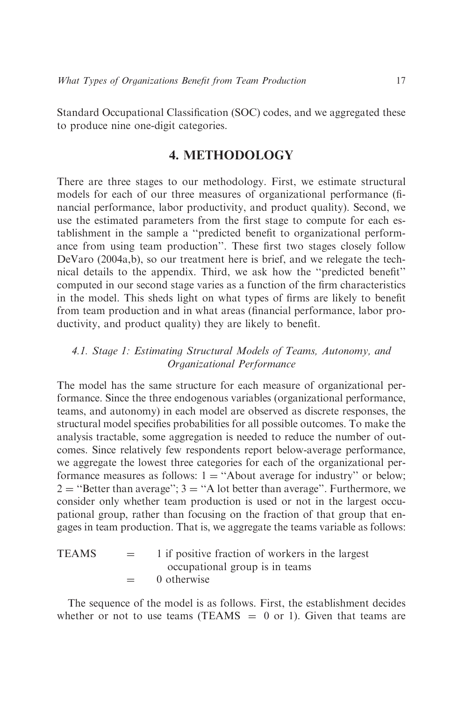Standard Occupational Classification (SOC) codes, and we aggregated these to produce nine one-digit categories.

#### 4. METHODOLOGY

There are three stages to our methodology. First, we estimate structural models for each of our three measures of organizational performance (financial performance, labor productivity, and product quality). Second, we use the estimated parameters from the first stage to compute for each establishment in the sample a ''predicted benefit to organizational performance from using team production''. These first two stages closely follow DeVaro (2004a,b), so our treatment here is brief, and we relegate the technical details to the appendix. Third, we ask how the ''predicted benefit'' computed in our second stage varies as a function of the firm characteristics in the model. This sheds light on what types of firms are likely to benefit from team production and in what areas (financial performance, labor productivity, and product quality) they are likely to benefit.

#### 4.1. Stage 1: Estimating Structural Models of Teams, Autonomy, and Organizational Performance

The model has the same structure for each measure of organizational performance. Since the three endogenous variables (organizational performance, teams, and autonomy) in each model are observed as discrete responses, the structural model specifies probabilities for all possible outcomes. To make the analysis tractable, some aggregation is needed to reduce the number of outcomes. Since relatively few respondents report below-average performance, we aggregate the lowest three categories for each of the organizational performance measures as follows:  $1 = "About average for industry" or below;$  $2 =$  "Better than average";  $3 =$  "A lot better than average". Furthermore, we consider only whether team production is used or not in the largest occupational group, rather than focusing on the fraction of that group that engages in team production. That is, we aggregate the teams variable as follows:

#### TEAMS  $=$  1 if positive fraction of workers in the largest occupational group is in teams  $= 0$  otherwise

The sequence of the model is as follows. First, the establishment decides whether or not to use teams (TEAMS  $= 0$  or 1). Given that teams are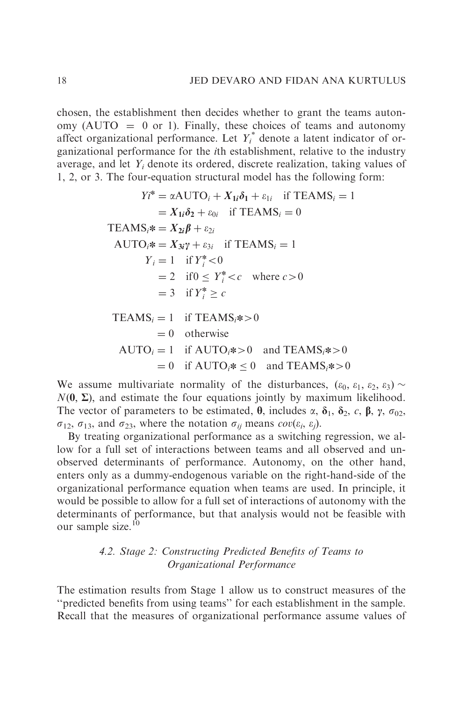chosen, the establishment then decides whether to grant the teams autonomy (AUTO  $= 0$  or 1). Finally, these choices of teams and autonomy affect organizational performance. Let  $Y_i^*$  denote a latent indicator of organizational performance for the ith establishment, relative to the industry average, and let  $Y_i$  denote its ordered, discrete realization, taking values of 1, 2, or 3. The four-equation structural model has the following form:

$$
Yi^* = \alpha \text{AUTO}_i + X_{1i}\delta_1 + \varepsilon_{1i} \quad \text{if TEAMS}_i = 1
$$
\n
$$
= X_{1i}\delta_2 + \varepsilon_{0i} \quad \text{if TEAMS}_i = 0
$$
\n
$$
\text{TEAMS}_i^* = X_{2i}\beta + \varepsilon_{2i}
$$
\n
$$
\text{AUTO}_i^* = X_{3i}\gamma + \varepsilon_{3i} \quad \text{if TEAMS}_i = 1
$$
\n
$$
Y_i = 1 \quad \text{if } Y_i^* < 0
$$
\n
$$
= 2 \quad \text{if } 0 \le Y_i^* < c \quad \text{where } c > 0
$$
\n
$$
= 3 \quad \text{if } Y_i^* \ge c
$$
\n
$$
\text{TEAMS}_i = 1 \quad \text{if TEAMS}_i^* > 0
$$
\n
$$
= 0 \quad \text{otherwise}
$$
\n
$$
\text{AUTO}_i = 1 \quad \text{if AUTO}_i^* > 0 \quad \text{and TEAMS}_i^* > 0
$$
\n
$$
= 0 \quad \text{if AUTO}_i^* \le 0 \quad \text{and TEAMS}_i^* > 0
$$

We assume multivariate normality of the disturbances,  $(\varepsilon_0, \varepsilon_1, \varepsilon_2, \varepsilon_3)$  $N(0, \Sigma)$ , and estimate the four equations jointly by maximum likelihood. The vector of parameters to be estimated,  $\theta$ , includes  $\alpha$ ,  $\delta_1$ ,  $\delta_2$ ,  $c$ ,  $\beta$ ,  $\gamma$ ,  $\sigma_{02}$ ,  $\sigma_{12}$ ,  $\sigma_{13}$ , and  $\sigma_{23}$ , where the notation  $\sigma_{ii}$  means  $cov(\varepsilon_i, \varepsilon_j)$ .

By treating organizational performance as a switching regression, we allow for a full set of interactions between teams and all observed and unobserved determinants of performance. Autonomy, on the other hand, enters only as a dummy-endogenous variable on the right-hand-side of the organizational performance equation when teams are used. In principle, it would be possible to allow for a full set of interactions of autonomy with the determinants of performance, but that analysis would not be feasible with our sample size. $^{10}$ 

#### 4.2. Stage 2: Constructing Predicted Benefits of Teams to Organizational Performance

The estimation results from Stage 1 allow us to construct measures of the ''predicted benefits from using teams'' for each establishment in the sample. Recall that the measures of organizational performance assume values of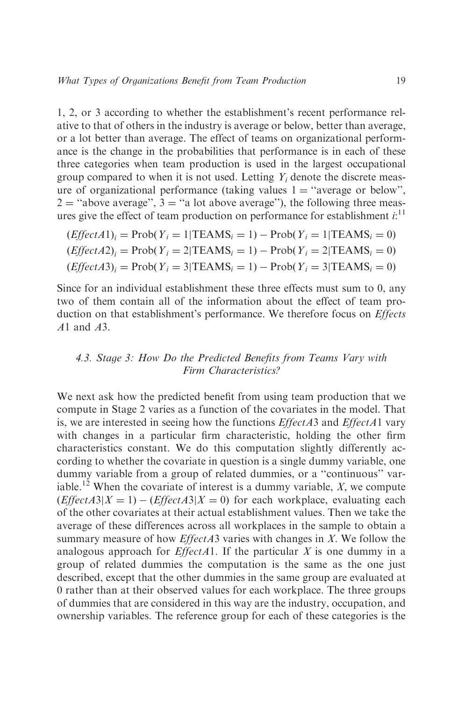1, 2, or 3 according to whether the establishment's recent performance relative to that of others in the industry is average or below, better than average, or a lot better than average. The effect of teams on organizational performance is the change in the probabilities that performance is in each of these three categories when team production is used in the largest occupational group compared to when it is not used. Letting  $Y_i$  denote the discrete measure of organizational performance (taking values  $1 =$  "average or below",  $2 =$  "above average",  $3 =$  "a lot above average"), the following three measures give the effect of team production on performance for establishment  $i$ :<sup>11</sup>

$$
(Effect A1)_i = Prob(Y_i = 1 | TEAMS_i = 1) - Prob(Y_i = 1 | TEAMS_i = 0)
$$

$$
(Effect A2)_i = Prob(Y_i = 2 | TEAMS_i = 1) - Prob(Y_i = 2 | TEAMS_i = 0)
$$

$$
(Effect A3)_i = Prob(Y_i = 3 | TEAMS_i = 1) - Prob(Y_i = 3 | TEAMS_i = 0)
$$

Since for an individual establishment these three effects must sum to 0, any two of them contain all of the information about the effect of team production on that establishment's performance. We therefore focus on Effects  $A1$  and  $A3$ .

#### 4.3. Stage 3: How Do the Predicted Benefits from Teams Vary with Firm Characteristics?

We next ask how the predicted benefit from using team production that we compute in Stage 2 varies as a function of the covariates in the model. That is, we are interested in seeing how the functions  $Effect A3$  and  $Effect A1$  vary with changes in a particular firm characteristic, holding the other firm characteristics constant. We do this computation slightly differently according to whether the covariate in question is a single dummy variable, one dummy variable from a group of related dummies, or a ''continuous'' variable.<sup>12</sup> When the covariate of interest is a dummy variable,  $X$ , we compute  $(E \text{ffect } A3 | X = 1) - (E \text{ffect } A3 | X = 0)$  for each workplace, evaluating each of the other covariates at their actual establishment values. Then we take the average of these differences across all workplaces in the sample to obtain a summary measure of how *EffectA3* varies with changes in  $X$ . We follow the analogous approach for *EffectA*1. If the particular  $X$  is one dummy in a group of related dummies the computation is the same as the one just described, except that the other dummies in the same group are evaluated at 0 rather than at their observed values for each workplace. The three groups of dummies that are considered in this way are the industry, occupation, and ownership variables. The reference group for each of these categories is the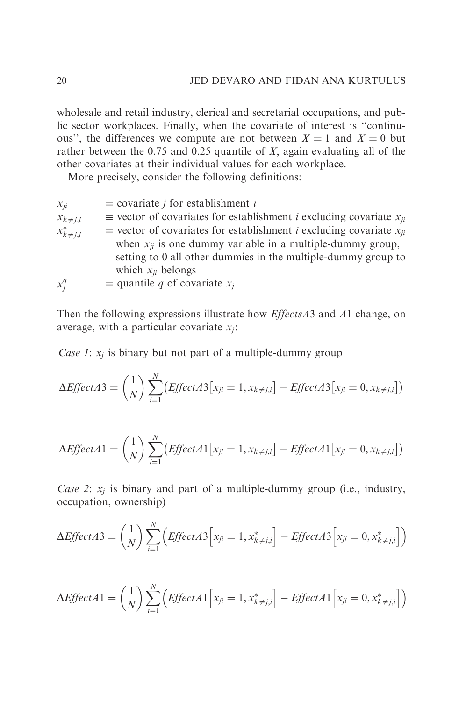wholesale and retail industry, clerical and secretarial occupations, and public sector workplaces. Finally, when the covariate of interest is ''continuous", the differences we compute are not between  $X = 1$  and  $X = 0$  but rather between the 0.75 and 0.25 quantile of  $X$ , again evaluating all of the other covariates at their individual values for each workplace.

More precisely, consider the following definitions:

| $x_{ii}$          | $\equiv$ covariate <i>j</i> for establishment <i>i</i>                                |
|-------------------|---------------------------------------------------------------------------------------|
| $X_{k\neq j,i}$   | $\equiv$ vector of covariates for establishment <i>i</i> excluding covariate $x_{ii}$ |
| $x_{k\neq j,i}^*$ | $\equiv$ vector of covariates for establishment <i>i</i> excluding covariate $x_{ii}$ |
|                   | when $x_{ii}$ is one dummy variable in a multiple-dummy group,                        |
|                   | setting to 0 all other dummies in the multiple-dummy group to                         |
|                   | which $x_{ii}$ belongs                                                                |
| $x_i^q$           | $\equiv$ quantile q of covariate $x_i$                                                |
|                   |                                                                                       |

Then the following expressions illustrate how EffectsA3 and A1 change, on average, with a particular covariate  $x_i$ :

Case 1:  $x_i$  is binary but not part of a multiple-dummy group

$$
\Delta Effect A3 = \left(\frac{1}{N}\right) \sum_{i=1}^{N} \left( Effect A3 \left[x_{ji} = 1, x_{k \neq j,i}\right] - Effect A3 \left[x_{ji} = 0, x_{k \neq j,i}\right]\right)
$$

$$
\Delta Effect A1 = \left(\frac{1}{N}\right) \sum_{i=1}^{N} \left( Effect A1 \left[x_{ji} = 1, x_{k \neq j,i}\right] - Effect A1 \left[x_{ji} = 0, x_{k \neq j,i}\right]\right)
$$

Case 2:  $x_i$  is binary and part of a multiple-dummy group (i.e., industry, occupation, ownership)

$$
\Delta Effect A3 = \left(\frac{1}{N}\right) \sum_{i=1}^{N} \left( Effect A3 \Big[ x_{ji} = 1, x_{k \neq j,i}^* \Big] - Effect A3 \Big[ x_{ji} = 0, x_{k \neq j,i}^* \Big] \right)
$$

$$
\Delta Effect A1 = \left(\frac{1}{N}\right) \sum_{i=1}^{N} \left( Effect A1 \left[x_{ji} = 1, x_{k \neq j,i}^{*}\right] - Effect A1 \left[x_{ji} = 0, x_{k \neq j,i}^{*}\right]\right)
$$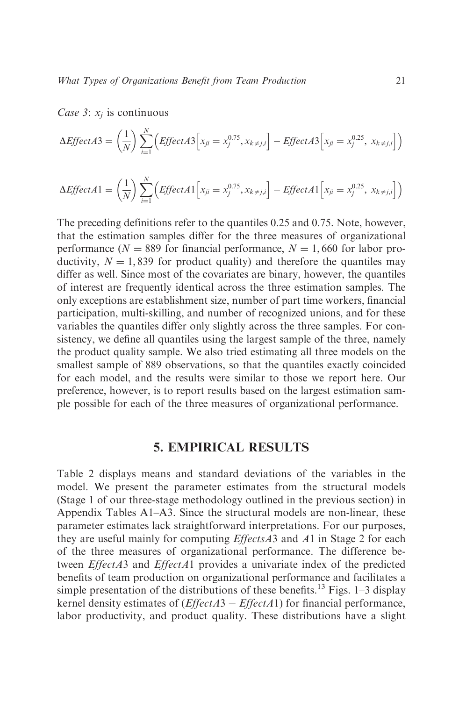Case 3:  $x_i$  is continuous

$$
\Delta Effect A3 = \left(\frac{1}{N}\right) \sum_{i=1}^{N} \left( Effect A3 \left[x_{ji} = x_{j}^{0.75}, x_{k \neq j,i}\right] - Effect A3 \left[x_{ji} = x_{j}^{0.25}, x_{k \neq j,i}\right]\right)
$$

$$
\Delta Effect A1 = \left(\frac{1}{N}\right) \sum_{i=1}^{N} \left( Effect A1 \left[x_{ji} = x_{j}^{0.75}, x_{k \neq j,i} \right] - Effect A1 \left[x_{ji} = x_{j}^{0.25}, x_{k \neq j,i} \right]\right)
$$

The preceding definitions refer to the quantiles 0.25 and 0.75. Note, however, that the estimation samples differ for the three measures of organizational performance ( $N = 889$  for financial performance,  $N = 1,660$  for labor productivity,  $N = 1,839$  for product quality) and therefore the quantiles may differ as well. Since most of the covariates are binary, however, the quantiles of interest are frequently identical across the three estimation samples. The only exceptions are establishment size, number of part time workers, financial participation, multi-skilling, and number of recognized unions, and for these variables the quantiles differ only slightly across the three samples. For consistency, we define all quantiles using the largest sample of the three, namely the product quality sample. We also tried estimating all three models on the smallest sample of 889 observations, so that the quantiles exactly coincided for each model, and the results were similar to those we report here. Our preference, however, is to report results based on the largest estimation sample possible for each of the three measures of organizational performance.

#### 5. EMPIRICAL RESULTS

Table 2 displays means and standard deviations of the variables in the model. We present the parameter estimates from the structural models (Stage 1 of our three-stage methodology outlined in the previous section) in Appendix Tables A1–A3. Since the structural models are non-linear, these parameter estimates lack straightforward interpretations. For our purposes, they are useful mainly for computing EffectsA3 and A1 in Stage 2 for each of the three measures of organizational performance. The difference between *EffectA3* and *EffectA1* provides a univariate index of the predicted benefits of team production on organizational performance and facilitates a simple presentation of the distributions of these benefits.<sup>13</sup> Figs. 1–3 display kernel density estimates of  $(E \nHectA3 - E \nHectA1)$  for financial performance, labor productivity, and product quality. These distributions have a slight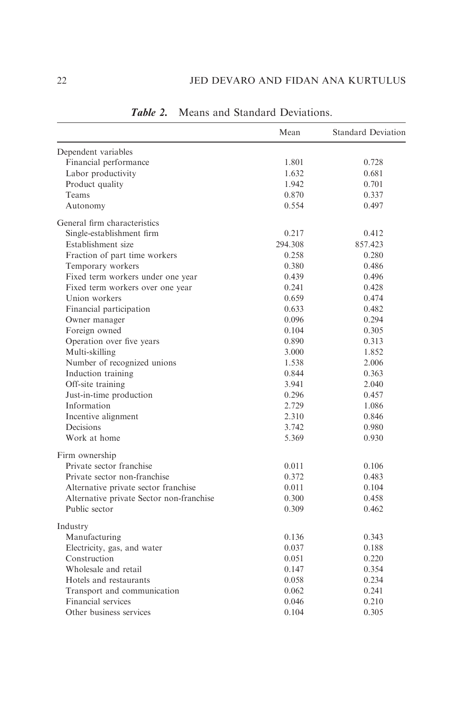|                                          | Mean    | <b>Standard Deviation</b> |
|------------------------------------------|---------|---------------------------|
| Dependent variables                      |         |                           |
| Financial performance                    | 1.801   | 0.728                     |
| Labor productivity                       | 1.632   | 0.681                     |
| Product quality                          | 1.942   | 0.701                     |
| Teams                                    | 0.870   | 0.337                     |
| Autonomy                                 | 0.554   | 0.497                     |
| General firm characteristics             |         |                           |
| Single-establishment firm                | 0.217   | 0.412                     |
| Establishment size                       | 294.308 | 857.423                   |
| Fraction of part time workers            | 0.258   | 0.280                     |
| Temporary workers                        | 0.380   | 0.486                     |
| Fixed term workers under one year        | 0.439   | 0.496                     |
| Fixed term workers over one year         | 0.241   | 0.428                     |
| Union workers                            | 0.659   | 0.474                     |
| Financial participation                  | 0.633   | 0.482                     |
| Owner manager                            | 0.096   | 0.294                     |
| Foreign owned                            | 0.104   | 0.305                     |
| Operation over five years                | 0.890   | 0.313                     |
| Multi-skilling                           | 3.000   | 1.852                     |
| Number of recognized unions              | 1.538   | 2.006                     |
| Induction training                       | 0.844   | 0.363                     |
| Off-site training                        | 3.941   | 2.040                     |
| Just-in-time production                  | 0.296   | 0.457                     |
| Information                              | 2.729   | 1.086                     |
| Incentive alignment                      | 2.310   | 0.846                     |
| Decisions                                | 3.742   | 0.980                     |
| Work at home                             | 5.369   | 0.930                     |
| Firm ownership                           |         |                           |
| Private sector franchise                 | 0.011   | 0.106                     |
| Private sector non-franchise             | 0.372   | 0.483                     |
| Alternative private sector franchise     | 0.011   | 0.104                     |
| Alternative private Sector non-franchise | 0.300   | 0.458                     |
| Public sector                            | 0.309   | 0.462                     |
| Industry                                 |         |                           |
| Manufacturing                            | 0.136   | 0.343                     |
| Electricity, gas, and water              | 0.037   | 0.188                     |
| Construction                             | 0.051   | 0.220                     |
| Wholesale and retail                     | 0.147   | 0.354                     |
| Hotels and restaurants                   | 0.058   | 0.234                     |
| Transport and communication              | 0.062   | 0.241                     |
| Financial services                       | 0.046   | 0.210                     |
| Other business services                  | 0.104   | 0.305                     |

Table 2. Means and Standard Deviations.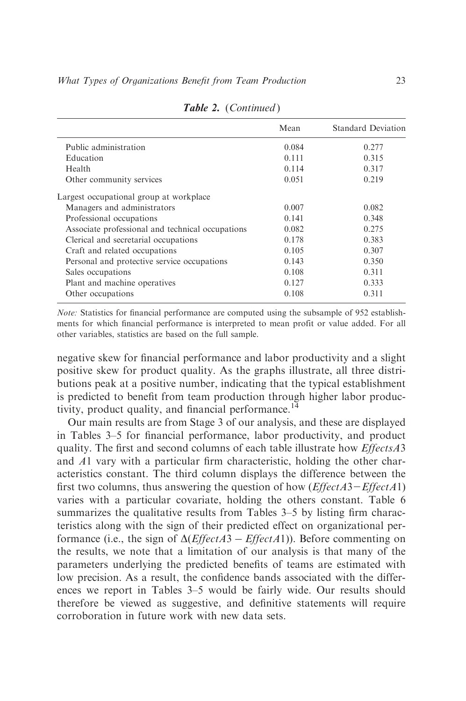|                                                  | Mean  | <b>Standard Deviation</b> |
|--------------------------------------------------|-------|---------------------------|
| Public administration                            | 0.084 | 0.277                     |
| Education                                        | 0.111 | 0.315                     |
| Health                                           | 0.114 | 0.317                     |
| Other community services                         | 0.051 | 0.219                     |
| Largest occupational group at workplace          |       |                           |
| Managers and administrators                      | 0.007 | 0.082                     |
| Professional occupations                         | 0.141 | 0.348                     |
| Associate professional and technical occupations | 0.082 | 0.275                     |
| Clerical and secretarial occupations             | 0.178 | 0.383                     |
| Craft and related occupations                    | 0.105 | 0.307                     |
| Personal and protective service occupations      | 0.143 | 0.350                     |
| Sales occupations                                | 0.108 | 0.311                     |
| Plant and machine operatives                     | 0.127 | 0.333                     |
| Other occupations                                | 0.108 | 0.311                     |

Table 2. (Continued)

Note: Statistics for financial performance are computed using the subsample of 952 establishments for which financial performance is interpreted to mean profit or value added. For all other variables, statistics are based on the full sample.

negative skew for financial performance and labor productivity and a slight positive skew for product quality. As the graphs illustrate, all three distributions peak at a positive number, indicating that the typical establishment is predicted to benefit from team production through higher labor productivity, product quality, and financial performance.<sup>14</sup>

Our main results are from Stage 3 of our analysis, and these are displayed in Tables 3–5 for financial performance, labor productivity, and product quality. The first and second columns of each table illustrate how *EffectsA3* and A1 vary with a particular firm characteristic, holding the other characteristics constant. The third column displays the difference between the first two columns, thus answering the question of how  $(EffectA3 - EffectA1)$ varies with a particular covariate, holding the others constant. Table 6 summarizes the qualitative results from Tables 3–5 by listing firm characteristics along with the sign of their predicted effect on organizational performance (i.e., the sign of  $\Delta(EffectA3 - EffectA1)$ ). Before commenting on the results, we note that a limitation of our analysis is that many of the parameters underlying the predicted benefits of teams are estimated with low precision. As a result, the confidence bands associated with the differences we report in Tables 3–5 would be fairly wide. Our results should therefore be viewed as suggestive, and definitive statements will require corroboration in future work with new data sets.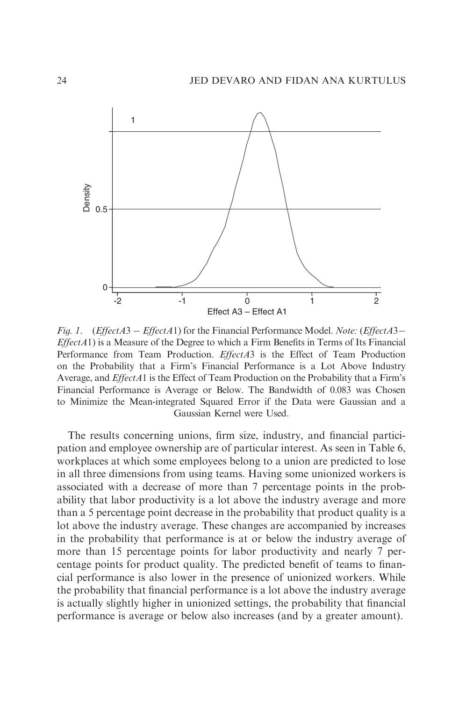

Fig. 1. (EffectA3 – EffectA1) for the Financial Performance Model. Note: (EffectA3–  $EffectA1$ ) is a Measure of the Degree to which a Firm Benefits in Terms of Its Financial Performance from Team Production. EffectA3 is the Effect of Team Production on the Probability that a Firm's Financial Performance is a Lot Above Industry Average, and EffectA1 is the Effect of Team Production on the Probability that a Firm's Financial Performance is Average or Below. The Bandwidth of 0.083 was Chosen to Minimize the Mean-integrated Squared Error if the Data were Gaussian and a Gaussian Kernel were Used.

The results concerning unions, firm size, industry, and financial participation and employee ownership are of particular interest. As seen in Table 6, workplaces at which some employees belong to a union are predicted to lose in all three dimensions from using teams. Having some unionized workers is associated with a decrease of more than 7 percentage points in the probability that labor productivity is a lot above the industry average and more than a 5 percentage point decrease in the probability that product quality is a lot above the industry average. These changes are accompanied by increases in the probability that performance is at or below the industry average of more than 15 percentage points for labor productivity and nearly 7 percentage points for product quality. The predicted benefit of teams to financial performance is also lower in the presence of unionized workers. While the probability that financial performance is a lot above the industry average is actually slightly higher in unionized settings, the probability that financial performance is average or below also increases (and by a greater amount).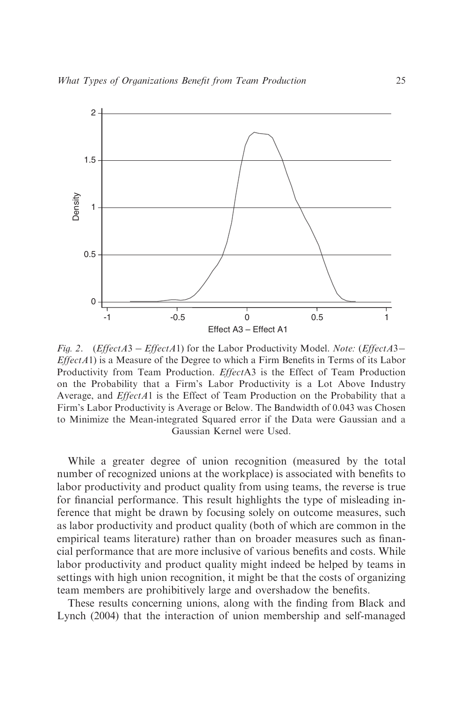

Fig. 2. (EffectA3 – EffectA1) for the Labor Productivity Model. Note: (EffectA3–  $EffectA1$ ) is a Measure of the Degree to which a Firm Benefits in Terms of its Labor Productivity from Team Production. EffectA3 is the Effect of Team Production on the Probability that a Firm's Labor Productivity is a Lot Above Industry Average, and *EffectA*1 is the Effect of Team Production on the Probability that a Firm's Labor Productivity is Average or Below. The Bandwidth of 0.043 was Chosen to Minimize the Mean-integrated Squared error if the Data were Gaussian and a Gaussian Kernel were Used.

While a greater degree of union recognition (measured by the total number of recognized unions at the workplace) is associated with benefits to labor productivity and product quality from using teams, the reverse is true for financial performance. This result highlights the type of misleading inference that might be drawn by focusing solely on outcome measures, such as labor productivity and product quality (both of which are common in the empirical teams literature) rather than on broader measures such as financial performance that are more inclusive of various benefits and costs. While labor productivity and product quality might indeed be helped by teams in settings with high union recognition, it might be that the costs of organizing team members are prohibitively large and overshadow the benefits.

These results concerning unions, along with the finding from Black and Lynch (2004) that the interaction of union membership and self-managed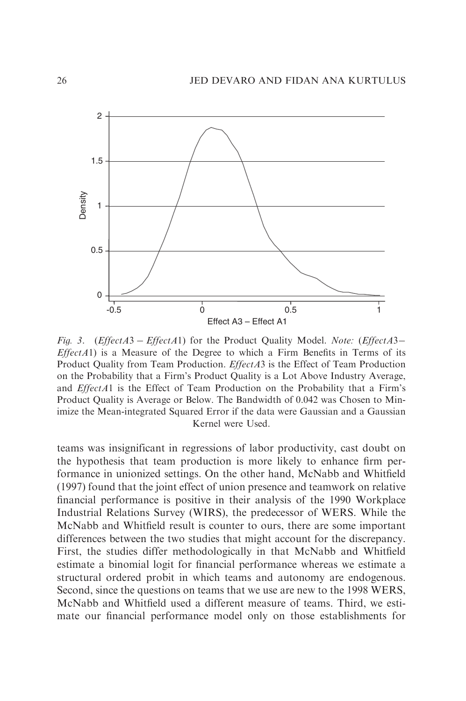

Fig. 3. (EffectA3 – EffectA1) for the Product Quality Model. Note: (EffectA3–  $EffectA1$ ) is a Measure of the Degree to which a Firm Benefits in Terms of its Product Quality from Team Production. *EffectA3* is the Effect of Team Production on the Probability that a Firm's Product Quality is a Lot Above Industry Average, and EffectA1 is the Effect of Team Production on the Probability that a Firm's Product Quality is Average or Below. The Bandwidth of 0.042 was Chosen to Minimize the Mean-integrated Squared Error if the data were Gaussian and a Gaussian Kernel were Used.

teams was insignificant in regressions of labor productivity, cast doubt on the hypothesis that team production is more likely to enhance firm performance in unionized settings. On the other hand, McNabb and Whitfield (1997) found that the joint effect of union presence and teamwork on relative financial performance is positive in their analysis of the 1990 Workplace Industrial Relations Survey (WIRS), the predecessor of WERS. While the McNabb and Whitfield result is counter to ours, there are some important differences between the two studies that might account for the discrepancy. First, the studies differ methodologically in that McNabb and Whitfield estimate a binomial logit for financial performance whereas we estimate a structural ordered probit in which teams and autonomy are endogenous. Second, since the questions on teams that we use are new to the 1998 WERS, McNabb and Whitfield used a different measure of teams. Third, we estimate our financial performance model only on those establishments for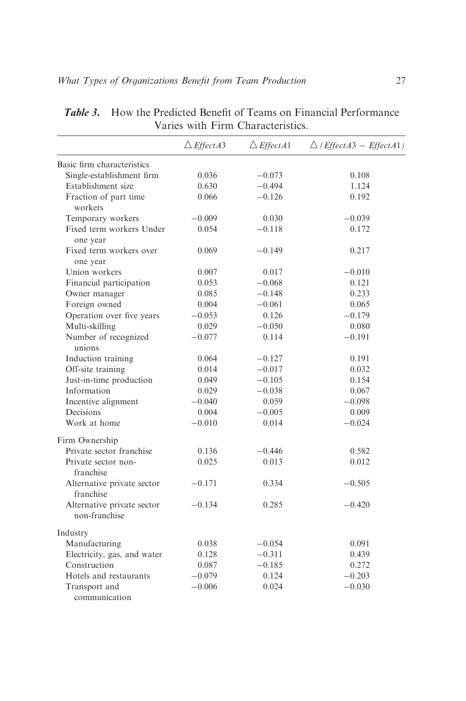|                                             | $\triangle$ EffectA3 | $\triangle$ Effect A1 | $\triangle$ ( <i>EffectA3</i> – <i>EffectA1</i> ) |
|---------------------------------------------|----------------------|-----------------------|---------------------------------------------------|
| Basic firm characteristics                  |                      |                       |                                                   |
| Single-establishment firm                   | 0.036                | $-0.073$              | 0.108                                             |
| Establishment size                          | 0.630                | $-0.494$              | 1.124                                             |
| Fraction of part time<br>workers            | 0.066                | $-0.126$              | 0.192                                             |
| Temporary workers                           | $-0.009$             | 0.030                 | $-0.039$                                          |
| Fixed term workers Under<br>one year        | 0.054                | $-0.118$              | 0.172                                             |
| Fixed term workers over<br>one year         | 0.069                | $-0.149$              | 0.217                                             |
| Union workers                               | 0.007                | 0.017                 | $-0.010$                                          |
| Financial participation                     | 0.053                | $-0.068$              | 0.121                                             |
| Owner manager                               | 0.085                | $-0.148$              | 0.233                                             |
| Foreign owned                               | 0.004                | $-0.061$              | 0.065                                             |
| Operation over five years                   | $-0.053$             | 0.126                 | $-0.179$                                          |
| Multi-skilling                              | 0.029                | $-0.050$              | 0.080                                             |
| Number of recognized<br>unions              | $-0.077$             | 0.114                 | $-0.191$                                          |
| Induction training                          | 0.064                | $-0.127$              | 0.191                                             |
| Off-site training                           | 0.014                | $-0.017$              | 0.032                                             |
| Just-in-time production                     | 0.049                | $-0.105$              | 0.154                                             |
| Information                                 | 0.029                | $-0.038$              | 0.067                                             |
| Incentive alignment                         | $-0.040$             | 0.059                 | $-0.098$                                          |
| Decisions                                   | 0.004                | $-0.005$              | 0.009                                             |
| Work at home                                | $-0.010$             | 0.014                 | $-0.024$                                          |
| Firm Ownership                              |                      |                       |                                                   |
| Private sector franchise                    | 0.136                | $-0.446$              | 0.582                                             |
| Private sector non-<br>franchise            | 0.025                | 0.013                 | 0.012                                             |
| Alternative private sector<br>franchise     | $-0.171$             | 0.334                 | $-0.505$                                          |
| Alternative private sector<br>non-franchise | $-0.134$             | 0.285                 | $-0.420$                                          |
| Industry                                    |                      |                       |                                                   |
| Manufacturing                               | 0.038                | $-0.054$              | 0.091                                             |
| Electricity, gas, and water                 | 0.128                | $-0.311$              | 0.439                                             |
| Construction                                | 0.087                | $-0.185$              | 0.272                                             |
| Hotels and restaurants                      | $-0.079$             | 0.124                 | $-0.203$                                          |
| Transport and<br>communication              | $-0.006$             | 0.024                 | $-0.030$                                          |

Table 3. How the Predicted Benefit of Teams on Financial Performance Varies with Firm Characteristics.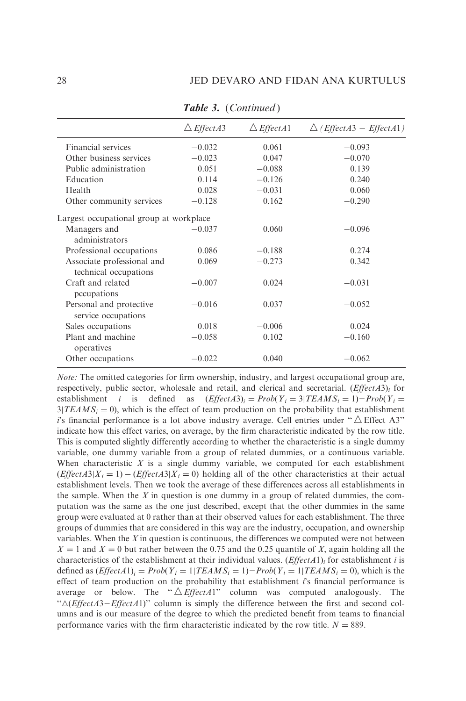|                                                     | $\triangle$ EffectA3 | $\triangle$ EffectA1 | $\triangle$ (EffectA3 – EffectA1) |
|-----------------------------------------------------|----------------------|----------------------|-----------------------------------|
| Financial services                                  | $-0.032$             | 0.061                | $-0.093$                          |
| Other business services                             | $-0.023$             | 0.047                | $-0.070$                          |
| Public administration                               | 0.051                | $-0.088$             | 0.139                             |
| Education                                           | 0.114                | $-0.126$             | 0.240                             |
| Health                                              | 0.028                | $-0.031$             | 0.060                             |
| Other community services                            | $-0.128$             | 0.162                | $-0.290$                          |
| Largest occupational group at workplace             |                      |                      |                                   |
| Managers and<br>administrators                      | $-0.037$             | 0.060                | $-0.096$                          |
| Professional occupations                            | 0.086                | $-0.188$             | 0.274                             |
| Associate professional and<br>technical occupations | 0.069                | $-0.273$             | 0.342                             |
| Craft and related<br>pecupations                    | $-0.007$             | 0.024                | $-0.031$                          |
| Personal and protective<br>service occupations      | $-0.016$             | 0.037                | $-0.052$                          |
| Sales occupations                                   | 0.018                | $-0.006$             | 0.024                             |
| Plant and machine<br>operatives                     | $-0.058$             | 0.102                | $-0.160$                          |
| Other occupations                                   | $-0.022$             | 0.040                | $-0.062$                          |

Table 3. (Continued)

Note: The omitted categories for firm ownership, industry, and largest occupational group are, respectively, public sector, wholesale and retail, and clerical and secretarial.  $(EffectA3)_i$  for establishment *i* is defined as  $(EffectA3)_i = Prob(Y_i = 3|TEAMS_i = 1) - Prob(Y_i = 1)$  $E\{Efect A3\} = Prob(Y_i = 3|TEAMS_i = 1) - Prob(Y_i = 1)$  $3|TEAMS_i = 0$ , which is the effect of team production on the probability that establishment is financial performance is a lot above industry average. Cell entries under " $\triangle$  Effect A3" indicate how this effect varies, on average, by the firm characteristic indicated by the row title. This is computed slightly differently according to whether the characteristic is a single dummy variable, one dummy variable from a group of related dummies, or a continuous variable. When characteristic  $X$  is a single dummy variable, we computed for each establishment  $(EffectA3|X_i = 1) - (EffectA3|X_i = 0)$  holding all of the other characteristics at their actual establishment levels. Then we took the average of these differences across all establishments in the sample. When the  $X$  in question is one dummy in a group of related dummies, the computation was the same as the one just described, except that the other dummies in the same group were evaluated at 0 rather than at their observed values for each establishment. The three groups of dummies that are considered in this way are the industry, occupation, and ownership variables. When the  $X$  in question is continuous, the differences we computed were not between  $X = 1$  and  $X = 0$  but rather between the 0.75 and the 0.25 quantile of X, again holding all the characteristics of the establishment at their individual values. (*EffectA1*)<sub>i</sub> for establishment i is defined as ðEffectA1Þ<sup>i</sup> ¼ ProbðYi ¼ 1jTEAMSi ¼ 1Þ2ProbðYi ¼ 1jTEAMSi ¼ 0Þ; which is the effect of team production on the probability that establishment is financial performance is average or below. The " $\triangle$  *EffectA*1" column was computed analogously. The " $\Delta$ (*EffectA3–EffectA1*)" column is simply the difference between the first and second columns and is our measure of the degree to which the predicted benefit from teams to financial performance varies with the firm characteristic indicated by the row title.  $N = 889$ .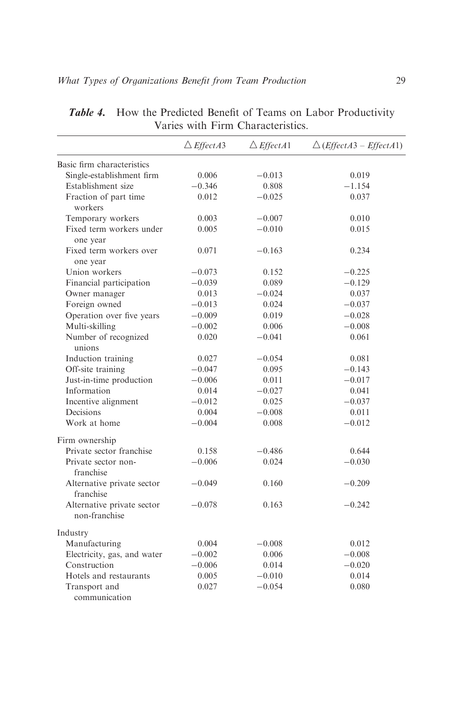|                                             | $\triangle$ EffectA3 | $\triangle$ Effect A1 | $\triangle$ ( <i>EffectA</i> 3 – <i>EffectA</i> 1) |
|---------------------------------------------|----------------------|-----------------------|----------------------------------------------------|
| Basic firm characteristics                  |                      |                       |                                                    |
| Single-establishment firm                   | 0.006                | $-0.013$              | 0.019                                              |
| Establishment size                          | $-0.346$             | 0.808                 | $-1.154$                                           |
| Fraction of part time<br>workers            | 0.012                | $-0.025$              | 0.037                                              |
| Temporary workers                           | 0.003                | $-0.007$              | 0.010                                              |
| Fixed term workers under<br>one year        | 0.005                | $-0.010$              | 0.015                                              |
| Fixed term workers over<br>one year         | 0.071                | $-0.163$              | 0.234                                              |
| Union workers                               | $-0.073$             | 0.152                 | $-0.225$                                           |
| Financial participation                     | $-0.039$             | 0.089                 | $-0.129$                                           |
| Owner manager                               | 0.013                | $-0.024$              | 0.037                                              |
| Foreign owned                               | $-0.013$             | 0.024                 | $-0.037$                                           |
| Operation over five years                   | $-0.009$             | 0.019                 | $-0.028$                                           |
| Multi-skilling                              | $-0.002$             | 0.006                 | $-0.008$                                           |
| Number of recognized<br>unions              | 0.020                | $-0.041$              | 0.061                                              |
| Induction training                          | 0.027                | $-0.054$              | 0.081                                              |
| Off-site training                           | $-0.047$             | 0.095                 | $-0.143$                                           |
| Just-in-time production                     | $-0.006$             | 0.011                 | $-0.017$                                           |
| Information                                 | 0.014                | $-0.027$              | 0.041                                              |
| Incentive alignment                         | $-0.012$             | 0.025                 | $-0.037$                                           |
| Decisions                                   | 0.004                | $-0.008$              | 0.011                                              |
| Work at home                                | $-0.004$             | 0.008                 | $-0.012$                                           |
| Firm ownership                              |                      |                       |                                                    |
| Private sector franchise                    | 0.158                | $-0.486$              | 0.644                                              |
| Private sector non-<br>franchise            | $-0.006$             | 0.024                 | $-0.030$                                           |
| Alternative private sector<br>franchise     | $-0.049$             | 0.160                 | $-0.209$                                           |
| Alternative private sector<br>non-franchise | $-0.078$             | 0.163                 | $-0.242$                                           |
| Industry                                    |                      |                       |                                                    |
| Manufacturing                               | 0.004                | $-0.008$              | 0.012                                              |
| Electricity, gas, and water                 | $-0.002$             | 0.006                 | $-0.008$                                           |
| Construction                                | $-0.006$             | 0.014                 | $-0.020$                                           |
| Hotels and restaurants                      | 0.005                | $-0.010$              | 0.014                                              |
| Transport and<br>communication              | 0.027                | $-0.054$              | 0.080                                              |

Table 4. How the Predicted Benefit of Teams on Labor Productivity Varies with Firm Characteristics.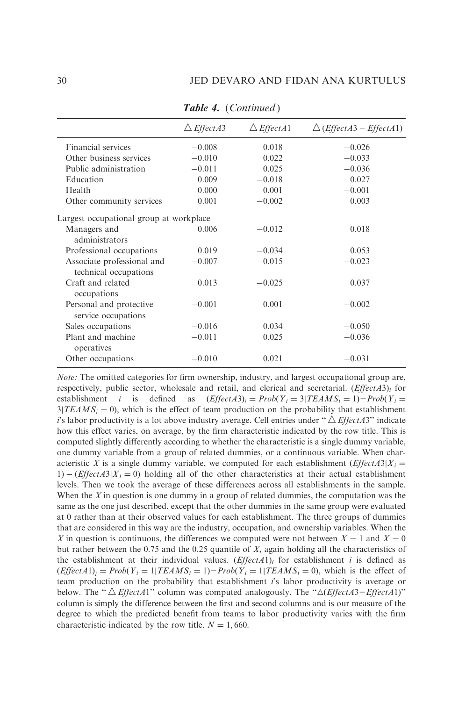|                                                     | $\triangle$ EffectA3 | $\triangle$ EffectA1 | $\triangle$ ( <i>EffectA3</i> – <i>EffectA1</i> ) |
|-----------------------------------------------------|----------------------|----------------------|---------------------------------------------------|
| Financial services                                  | $-0.008$             | 0.018                | $-0.026$                                          |
| Other business services                             | $-0.010$             | 0.022                | $-0.033$                                          |
| Public administration                               | $-0.011$             | 0.025                | $-0.036$                                          |
| Education                                           | 0.009                | $-0.018$             | 0.027                                             |
| Health                                              | 0.000                | 0.001                | $-0.001$                                          |
| Other community services                            | 0.001                | $-0.002$             | 0.003                                             |
| Largest occupational group at workplace             |                      |                      |                                                   |
| Managers and<br>administrators                      | 0.006                | $-0.012$             | 0.018                                             |
| Professional occupations                            | 0.019                | $-0.034$             | 0.053                                             |
| Associate professional and<br>technical occupations | $-0.007$             | 0.015                | $-0.023$                                          |
| Craft and related<br>occupations                    | 0.013                | $-0.025$             | 0.037                                             |
| Personal and protective<br>service occupations      | $-0.001$             | 0.001                | $-0.002$                                          |
| Sales occupations                                   | $-0.016$             | 0.034                | $-0.050$                                          |
| Plant and machine<br>operatives                     | $-0.011$             | 0.025                | $-0.036$                                          |
| Other occupations                                   | $-0.010$             | 0.021                | $-0.031$                                          |

Table 4. (Continued)

Note: The omitted categories for firm ownership, industry, and largest occupational group are, respectively, public sector, wholesale and retail, and clerical and secretarial.  $(EffectA3)_i$  for establishment i is defined as  $(EffectA3)_i = Prob(Y_i = 3|TEAMS_i = 1) - Prob(Y_i = 1)$  $3|TEAMS_i = 0$ , which is the effect of team production on the probability that establishment i's labor productivity is a lot above industry average. Cell entries under " $\triangle$  *EffectA3*" indicate how this effect varies, on average, by the firm characteristic indicated by the row title. This is computed slightly differently according to whether the characteristic is a single dummy variable, one dummy variable from a group of related dummies, or a continuous variable. When characteristic X is a single dummy variable, we computed for each establishment  $(Efect A3|X_i =$ 1) –  $E$ ffectA3|X<sub>i</sub> = 0) holding all of the other characteristics at their actual establishment levels. Then we took the average of these differences across all establishments in the sample. When the  $X$  in question is one dummy in a group of related dummies, the computation was the same as the one just described, except that the other dummies in the same group were evaluated at 0 rather than at their observed values for each establishment. The three groups of dummies that are considered in this way are the industry, occupation, and ownership variables. When the X in question is continuous, the differences we computed were not between  $X = 1$  and  $X = 0$ but rather between the 0.75 and the 0.25 quantile of X, again holding all the characteristics of the establishment at their individual values.  $(E \nvert \nvert e c \nvert A1)$  for establishment i is defined as  $(EffectA1)_i = Prob(Y_i = 1|TEAMS_i = 1) - Prob(Y_i = 1|TEAMS_i = 0)$ , which is the effect of team production on the probability that establishment  $\hat{i}$ 's labor productivity is average or below. The " $\triangle$  *EffectA*1" column was computed analogously. The " $\triangle$  *EffectA*3–*EffectA*1)" column is simply the difference between the first and second columns and is our measure of the degree to which the predicted benefit from teams to labor productivity varies with the firm characteristic indicated by the row title.  $N = 1,660$ .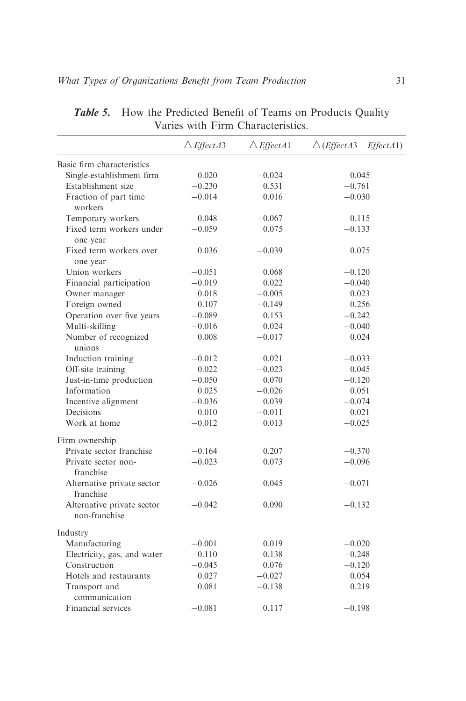|                                             | $\triangle$ EffectA3 | $\triangle$ Effect A1 | $\triangle$ ( <i>EffectA3</i> – <i>EffectA1</i> ) |
|---------------------------------------------|----------------------|-----------------------|---------------------------------------------------|
| Basic firm characteristics                  |                      |                       |                                                   |
| Single-establishment firm                   | 0.020                | $-0.024$              | 0.045                                             |
| Establishment size                          | $-0.230$             | 0.531                 | $-0.761$                                          |
| Fraction of part time<br>workers            | $-0.014$             | 0.016                 | $-0.030$                                          |
| Temporary workers                           | 0.048                | $-0.067$              | 0.115                                             |
| Fixed term workers under<br>one year        | $-0.059$             | 0.075                 | $-0.133$                                          |
| Fixed term workers over<br>one year         | 0.036                | $-0.039$              | 0.075                                             |
| Union workers                               | $-0.051$             | 0.068                 | $-0.120$                                          |
| Financial participation                     | $-0.019$             | 0.022                 | $-0.040$                                          |
| Owner manager                               | 0.018                | $-0.005$              | 0.023                                             |
| Foreign owned                               | 0.107                | $-0.149$              | 0.256                                             |
| Operation over five years                   | $-0.089$             | 0.153                 | $-0.242$                                          |
| Multi-skilling                              | $-0.016$             | 0.024                 | $-0.040$                                          |
| Number of recognized<br>unions              | 0.008                | $-0.017$              | 0.024                                             |
| Induction training                          | $-0.012$             | 0.021                 | $-0.033$                                          |
| Off-site training                           | 0.022                | $-0.023$              | 0.045                                             |
| Just-in-time production                     | $-0.050$             | 0.070                 | $-0.120$                                          |
| Information                                 | 0.025                | $-0.026$              | 0.051                                             |
| Incentive alignment                         | $-0.036$             | 0.039                 | $-0.074$                                          |
| <b>Decisions</b>                            | 0.010                | $-0.011$              | 0.021                                             |
| Work at home                                | $-0.012$             | 0.013                 | $-0.025$                                          |
| Firm ownership                              |                      |                       |                                                   |
| Private sector franchise                    | $-0.164$             | 0.207                 | $-0.370$                                          |
| Private sector non-<br>franchise            | $-0.023$             | 0.073                 | $-0.096$                                          |
| Alternative private sector<br>franchise     | $-0.026$             | 0.045                 | $-0.071$                                          |
| Alternative private sector<br>non-franchise | $-0.042$             | 0.090                 | $-0.132$                                          |
| Industry                                    |                      |                       |                                                   |
| Manufacturing                               | $-0.001$             | 0.019                 | $-0.020$                                          |
| Electricity, gas, and water                 | $-0.110$             | 0.138                 | $-0.248$                                          |
| Construction                                | $-0.045$             | 0.076                 | $-0.120$                                          |
| Hotels and restaurants                      | 0.027                | $-0.027$              | 0.054                                             |
| Transport and<br>communication              | 0.081                | $-0.138$              | 0.219                                             |
| Financial services                          | $-0.081$             | 0.117                 | $-0.198$                                          |

Table 5. How the Predicted Benefit of Teams on Products Quality Varies with Firm Characteristics.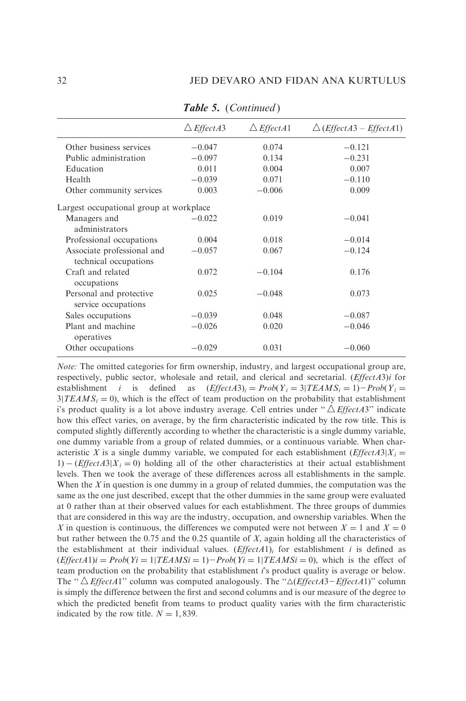|                                                     | $\triangle$ EffectA3 | $\triangle$ <i>EffectA</i> 1 | $\triangle$ ( <i>EffectA3</i> – <i>EffectA1</i> ) |
|-----------------------------------------------------|----------------------|------------------------------|---------------------------------------------------|
| Other business services                             | $-0.047$             | 0.074                        | $-0.121$                                          |
| Public administration                               | $-0.097$             | 0.134                        | $-0.231$                                          |
| Education                                           | 0.011                | 0.004                        | 0.007                                             |
| Health                                              | $-0.039$             | 0.071                        | $-0.110$                                          |
| Other community services                            | 0.003                | $-0.006$                     | 0.009                                             |
| Largest occupational group at workplace             |                      |                              |                                                   |
| Managers and<br>administrators                      | $-0.022$             | 0.019                        | $-0.041$                                          |
| Professional occupations                            | 0.004                | 0.018                        | $-0.014$                                          |
| Associate professional and<br>technical occupations | $-0.057$             | 0.067                        | $-0.124$                                          |
| Craft and related<br>occupations                    | 0.072                | $-0.104$                     | 0.176                                             |
| Personal and protective<br>service occupations      | 0.025                | $-0.048$                     | 0.073                                             |
| Sales occupations                                   | $-0.039$             | 0.048                        | $-0.087$                                          |
| Plant and machine<br>operatives                     | $-0.026$             | 0.020                        | $-0.046$                                          |
| Other occupations                                   | $-0.029$             | 0.031                        | $-0.060$                                          |

Table 5. (Continued)

Note: The omitted categories for firm ownership, industry, and largest occupational group are, respectively, public sector, wholesale and retail, and clerical and secretarial. (*EffectA3*)*i* for establishment i is defined as  $(EffectA3)_i = Prob(Y_i = 3|TEAMS_i = 1) - Prob(Y_i = 1)$  $3|TEAMS_i = 0$ , which is the effect of team production on the probability that establishment i's product quality is a lot above industry average. Cell entries under " $\triangle$  *EffectA3*" indicate how this effect varies, on average, by the firm characteristic indicated by the row title. This is computed slightly differently according to whether the characteristic is a single dummy variable, one dummy variable from a group of related dummies, or a continuous variable. When characteristic X is a single dummy variable, we computed for each establishment  $(EffectA3|X_i =$ 1) –  $(EffectA3|X_i = 0)$  holding all of the other characteristics at their actual establishment levels. Then we took the average of these differences across all establishments in the sample. When the  $X$  in question is one dummy in a group of related dummies, the computation was the same as the one just described, except that the other dummies in the same group were evaluated at 0 rather than at their observed values for each establishment. The three groups of dummies that are considered in this way are the industry, occupation, and ownership variables. When the X in question is continuous, the differences we computed were not between  $X = 1$  and  $X = 0$ but rather between the 0.75 and the 0.25 quantile of X, again holding all the characteristics of the establishment at their individual values.  $(E \nvert \nvert e c t A1)_i$  for establishment i is defined as  $(EffectA1)i = Prob(Yi = 1| TEAMSi = 1) - Prob(Yi = 1| TEAMSi = 0)$ , which is the effect of team production on the probability that establishment i's product quality is average or below. The " $\triangle$  *EffectA*1" column was computed analogously. The " $\triangle$ (*EffectA*3–*EffectA*1)" column is simply the difference between the first and second columns and is our measure of the degree to which the predicted benefit from teams to product quality varies with the firm characteristic indicated by the row title.  $N = 1,839$ .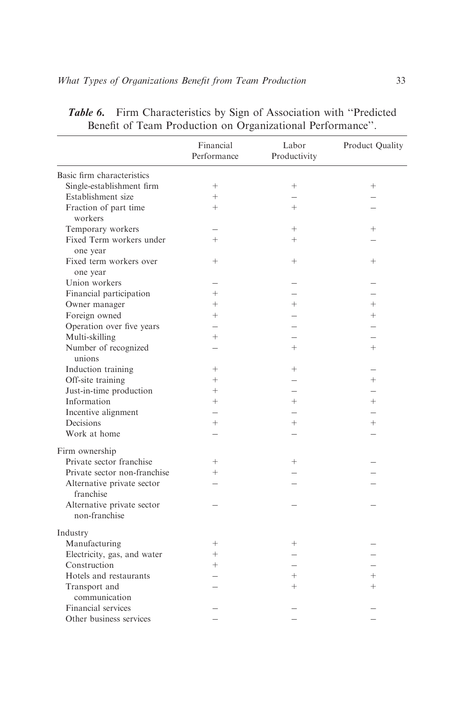|                                             | Financial<br>Performance | Labor<br>Productivity | Product Quality |
|---------------------------------------------|--------------------------|-----------------------|-----------------|
| Basic firm characteristics                  |                          |                       |                 |
| Single-establishment firm                   | $^{+}$                   | $^{+}$                | $^{+}$          |
| Establishment size                          | $+$                      |                       |                 |
| Fraction of part time<br>workers            | $^{+}$                   | $^{+}$                |                 |
| Temporary workers                           |                          | $^{+}$                | $^{+}$          |
| Fixed Term workers under<br>one year        | $+$                      | $^{+}$                |                 |
| Fixed term workers over<br>one year         | $^{+}$                   | $^{+}$                | $^{+}$          |
| Union workers                               |                          |                       |                 |
| Financial participation                     | $+$                      |                       |                 |
| Owner manager                               | $+$                      | $^{+}$                | $^{+}$          |
| Foreign owned                               | $+$                      |                       | $^{+}$          |
| Operation over five years                   |                          |                       |                 |
| Multi-skilling                              | $^{+}$                   |                       |                 |
| Number of recognized<br>unions              |                          | $^{+}$                | $^{+}$          |
| Induction training                          | $+$                      | $^{+}$                |                 |
| Off-site training                           | $+$                      |                       | $^{+}$          |
| Just-in-time production                     | $^{+}$                   |                       |                 |
| Information                                 | $^{+}$                   | $^{+}$                | $^{+}$          |
| Incentive alignment                         |                          |                       |                 |
| Decisions                                   | $^{+}$                   | $^{+}$                | $^{+}$          |
| Work at home                                |                          |                       |                 |
| Firm ownership                              |                          |                       |                 |
| Private sector franchise                    | $^{+}$                   | $^{+}$                |                 |
| Private sector non-franchise                | $+$                      |                       |                 |
| Alternative private sector<br>franchise     |                          |                       |                 |
| Alternative private sector<br>non-franchise |                          |                       |                 |
| Industry                                    |                          |                       |                 |
| Manufacturing                               | $^{+}$                   | $^{+}$                |                 |
| Electricity, gas, and water                 | $^{+}$                   |                       |                 |
| Construction                                | $^{+}$                   |                       |                 |
| Hotels and restaurants                      |                          | $^{+}$                | $^{+}$          |
| Transport and                               |                          | $+$                   | $+$             |
| communication                               |                          |                       |                 |
| Financial services                          |                          |                       |                 |
| Other business services                     |                          |                       |                 |

Table 6. Firm Characteristics by Sign of Association with "Predicted Benefit of Team Production on Organizational Performance''.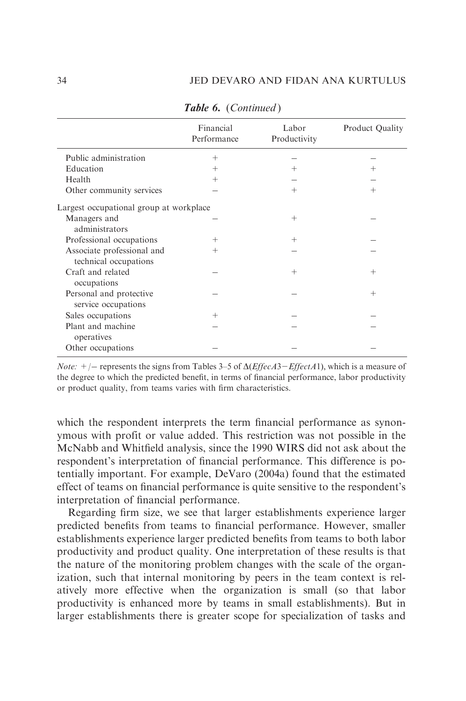|                                                     | Financial<br>Performance | Labor<br>Productivity | <b>Product Quality</b> |
|-----------------------------------------------------|--------------------------|-----------------------|------------------------|
| Public administration                               | $^+$                     |                       |                        |
| Education                                           | $^+$                     | $^{+}$                | $^{+}$                 |
| Health                                              | $^{+}$                   |                       |                        |
| Other community services                            |                          | $^{+}$                | $^{+}$                 |
| Largest occupational group at workplace             |                          |                       |                        |
| Managers and<br>administrators                      |                          | $^{+}$                |                        |
| Professional occupations                            | $^+$                     | $^{+}$                |                        |
| Associate professional and<br>technical occupations | $^+$                     |                       |                        |
| Craft and related<br>occupations                    |                          | $^{+}$                | $^{+}$                 |
| Personal and protective<br>service occupations      |                          |                       | $^{+}$                 |
| Sales occupations                                   | $^+$                     |                       |                        |
| Plant and machine<br>operatives                     |                          |                       |                        |
| Other occupations                                   |                          |                       |                        |

Table 6. (Continued)

*Note:*  $+/-$  represents the signs from Tables 3–5 of  $\Delta(Ef$ fecA3–EffectA1), which is a measure of the degree to which the predicted benefit, in terms of financial performance, labor productivity or product quality, from teams varies with firm characteristics.

which the respondent interprets the term financial performance as synonymous with profit or value added. This restriction was not possible in the McNabb and Whitfield analysis, since the 1990 WIRS did not ask about the respondent's interpretation of financial performance. This difference is potentially important. For example, DeVaro (2004a) found that the estimated effect of teams on financial performance is quite sensitive to the respondent's interpretation of financial performance.

Regarding firm size, we see that larger establishments experience larger predicted benefits from teams to financial performance. However, smaller establishments experience larger predicted benefits from teams to both labor productivity and product quality. One interpretation of these results is that the nature of the monitoring problem changes with the scale of the organization, such that internal monitoring by peers in the team context is relatively more effective when the organization is small (so that labor productivity is enhanced more by teams in small establishments). But in larger establishments there is greater scope for specialization of tasks and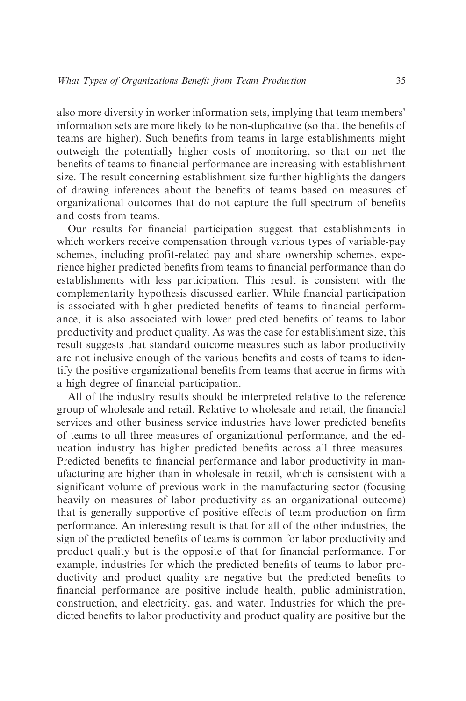also more diversity in worker information sets, implying that team members' information sets are more likely to be non-duplicative (so that the benefits of teams are higher). Such benefits from teams in large establishments might outweigh the potentially higher costs of monitoring, so that on net the benefits of teams to financial performance are increasing with establishment size. The result concerning establishment size further highlights the dangers of drawing inferences about the benefits of teams based on measures of organizational outcomes that do not capture the full spectrum of benefits and costs from teams.

Our results for financial participation suggest that establishments in which workers receive compensation through various types of variable-pay schemes, including profit-related pay and share ownership schemes, experience higher predicted benefits from teams to financial performance than do establishments with less participation. This result is consistent with the complementarity hypothesis discussed earlier. While financial participation is associated with higher predicted benefits of teams to financial performance, it is also associated with lower predicted benefits of teams to labor productivity and product quality. As was the case for establishment size, this result suggests that standard outcome measures such as labor productivity are not inclusive enough of the various benefits and costs of teams to identify the positive organizational benefits from teams that accrue in firms with a high degree of financial participation.

All of the industry results should be interpreted relative to the reference group of wholesale and retail. Relative to wholesale and retail, the financial services and other business service industries have lower predicted benefits of teams to all three measures of organizational performance, and the education industry has higher predicted benefits across all three measures. Predicted benefits to financial performance and labor productivity in manufacturing are higher than in wholesale in retail, which is consistent with a significant volume of previous work in the manufacturing sector (focusing heavily on measures of labor productivity as an organizational outcome) that is generally supportive of positive effects of team production on firm performance. An interesting result is that for all of the other industries, the sign of the predicted benefits of teams is common for labor productivity and product quality but is the opposite of that for financial performance. For example, industries for which the predicted benefits of teams to labor productivity and product quality are negative but the predicted benefits to financial performance are positive include health, public administration, construction, and electricity, gas, and water. Industries for which the predicted benefits to labor productivity and product quality are positive but the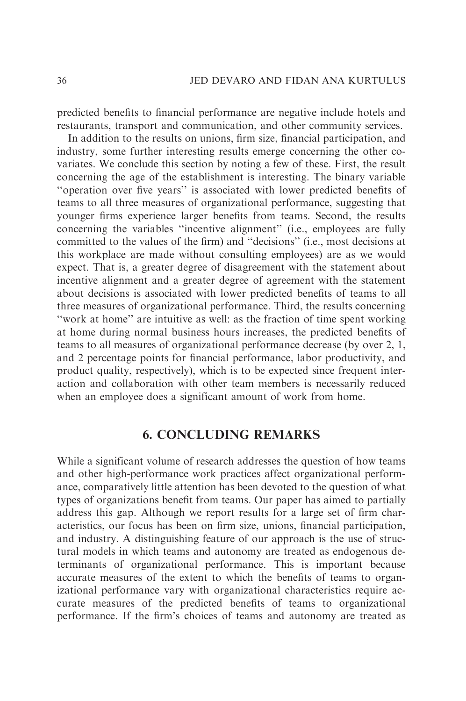predicted benefits to financial performance are negative include hotels and restaurants, transport and communication, and other community services.

In addition to the results on unions, firm size, financial participation, and industry, some further interesting results emerge concerning the other covariates. We conclude this section by noting a few of these. First, the result concerning the age of the establishment is interesting. The binary variable ''operation over five years'' is associated with lower predicted benefits of teams to all three measures of organizational performance, suggesting that younger firms experience larger benefits from teams. Second, the results concerning the variables ''incentive alignment'' (i.e., employees are fully committed to the values of the firm) and ''decisions'' (i.e., most decisions at this workplace are made without consulting employees) are as we would expect. That is, a greater degree of disagreement with the statement about incentive alignment and a greater degree of agreement with the statement about decisions is associated with lower predicted benefits of teams to all three measures of organizational performance. Third, the results concerning ''work at home'' are intuitive as well: as the fraction of time spent working at home during normal business hours increases, the predicted benefits of teams to all measures of organizational performance decrease (by over 2, 1, and 2 percentage points for financial performance, labor productivity, and product quality, respectively), which is to be expected since frequent interaction and collaboration with other team members is necessarily reduced when an employee does a significant amount of work from home.

#### 6. CONCLUDING REMARKS

While a significant volume of research addresses the question of how teams and other high-performance work practices affect organizational performance, comparatively little attention has been devoted to the question of what types of organizations benefit from teams. Our paper has aimed to partially address this gap. Although we report results for a large set of firm characteristics, our focus has been on firm size, unions, financial participation, and industry. A distinguishing feature of our approach is the use of structural models in which teams and autonomy are treated as endogenous determinants of organizational performance. This is important because accurate measures of the extent to which the benefits of teams to organizational performance vary with organizational characteristics require accurate measures of the predicted benefits of teams to organizational performance. If the firm's choices of teams and autonomy are treated as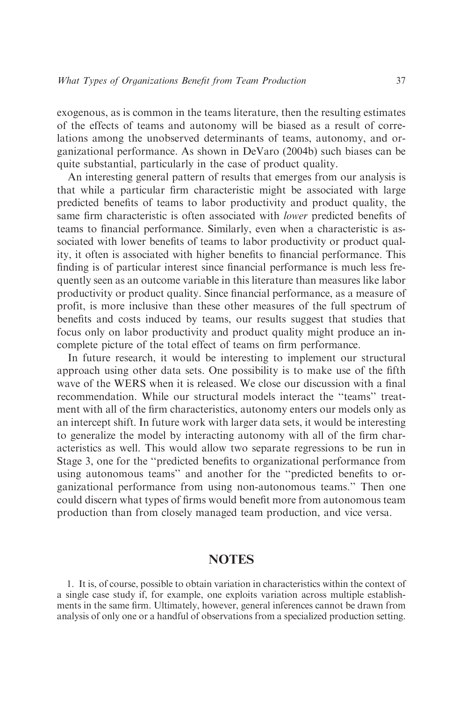exogenous, as is common in the teams literature, then the resulting estimates of the effects of teams and autonomy will be biased as a result of correlations among the unobserved determinants of teams, autonomy, and organizational performance. As shown in DeVaro (2004b) such biases can be quite substantial, particularly in the case of product quality.

An interesting general pattern of results that emerges from our analysis is that while a particular firm characteristic might be associated with large predicted benefits of teams to labor productivity and product quality, the same firm characteristic is often associated with lower predicted benefits of teams to financial performance. Similarly, even when a characteristic is associated with lower benefits of teams to labor productivity or product quality, it often is associated with higher benefits to financial performance. This finding is of particular interest since financial performance is much less frequently seen as an outcome variable in this literature than measures like labor productivity or product quality. Since financial performance, as a measure of profit, is more inclusive than these other measures of the full spectrum of benefits and costs induced by teams, our results suggest that studies that focus only on labor productivity and product quality might produce an incomplete picture of the total effect of teams on firm performance.

In future research, it would be interesting to implement our structural approach using other data sets. One possibility is to make use of the fifth wave of the WERS when it is released. We close our discussion with a final recommendation. While our structural models interact the ''teams'' treatment with all of the firm characteristics, autonomy enters our models only as an intercept shift. In future work with larger data sets, it would be interesting to generalize the model by interacting autonomy with all of the firm characteristics as well. This would allow two separate regressions to be run in Stage 3, one for the ''predicted benefits to organizational performance from using autonomous teams'' and another for the ''predicted benefits to organizational performance from using non-autonomous teams.'' Then one could discern what types of firms would benefit more from autonomous team production than from closely managed team production, and vice versa.

#### **NOTES**

1. It is, of course, possible to obtain variation in characteristics within the context of a single case study if, for example, one exploits variation across multiple establishments in the same firm. Ultimately, however, general inferences cannot be drawn from analysis of only one or a handful of observations from a specialized production setting.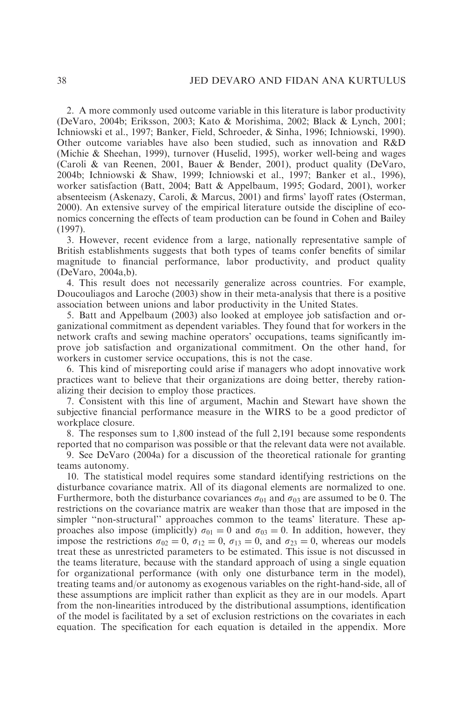2. A more commonly used outcome variable in this literature is labor productivity (DeVaro, 2004b; Eriksson, 2003; Kato & Morishima, 2002; Black & Lynch, 2001; Ichniowski et al., 1997; Banker, Field, Schroeder, & Sinha, 1996; Ichniowski, 1990). Other outcome variables have also been studied, such as innovation and R&D (Michie & Sheehan, 1999), turnover (Huselid, 1995), worker well-being and wages (Caroli & van Reenen, 2001, Bauer & Bender, 2001), product quality (DeVaro, 2004b; Ichniowski & Shaw, 1999; Ichniowski et al., 1997; Banker et al., 1996), worker satisfaction (Batt, 2004; Batt & Appelbaum, 1995; Godard, 2001), worker absenteeism (Askenazy, Caroli, & Marcus, 2001) and firms' layoff rates (Osterman, 2000). An extensive survey of the empirical literature outside the discipline of economics concerning the effects of team production can be found in Cohen and Bailey (1997).

3. However, recent evidence from a large, nationally representative sample of British establishments suggests that both types of teams confer benefits of similar magnitude to financial performance, labor productivity, and product quality (DeVaro, 2004a,b).

4. This result does not necessarily generalize across countries. For example, Doucouliagos and Laroche (2003) show in their meta-analysis that there is a positive association between unions and labor productivity in the United States.

5. Batt and Appelbaum (2003) also looked at employee job satisfaction and organizational commitment as dependent variables. They found that for workers in the network crafts and sewing machine operators' occupations, teams significantly improve job satisfaction and organizational commitment. On the other hand, for workers in customer service occupations, this is not the case.

6. This kind of misreporting could arise if managers who adopt innovative work practices want to believe that their organizations are doing better, thereby rationalizing their decision to employ those practices.

7. Consistent with this line of argument, Machin and Stewart have shown the subjective financial performance measure in the WIRS to be a good predictor of workplace closure.

8. The responses sum to 1,800 instead of the full 2,191 because some respondents reported that no comparison was possible or that the relevant data were not available.

9. See DeVaro (2004a) for a discussion of the theoretical rationale for granting teams autonomy.

10. The statistical model requires some standard identifying restrictions on the disturbance covariance matrix. All of its diagonal elements are normalized to one. Furthermore, both the disturbance covariances  $\sigma_{01}$  and  $\sigma_{03}$  are assumed to be 0. The restrictions on the covariance matrix are weaker than those that are imposed in the simpler ''non-structural'' approaches common to the teams' literature. These approaches also impose (implicitly)  $\sigma_{01} = 0$  and  $\sigma_{03} = 0$ . In addition, however, they impose the restrictions  $\sigma_{02} = 0$ ,  $\sigma_{12} = 0$ ,  $\sigma_{13} = 0$ , and  $\sigma_{23} = 0$ , whereas our models treat these as unrestricted parameters to be estimated. This issue is not discussed in the teams literature, because with the standard approach of using a single equation for organizational performance (with only one disturbance term in the model), treating teams and/or autonomy as exogenous variables on the right-hand-side, all of these assumptions are implicit rather than explicit as they are in our models. Apart from the non-linearities introduced by the distributional assumptions, identification of the model is facilitated by a set of exclusion restrictions on the covariates in each equation. The specification for each equation is detailed in the appendix. More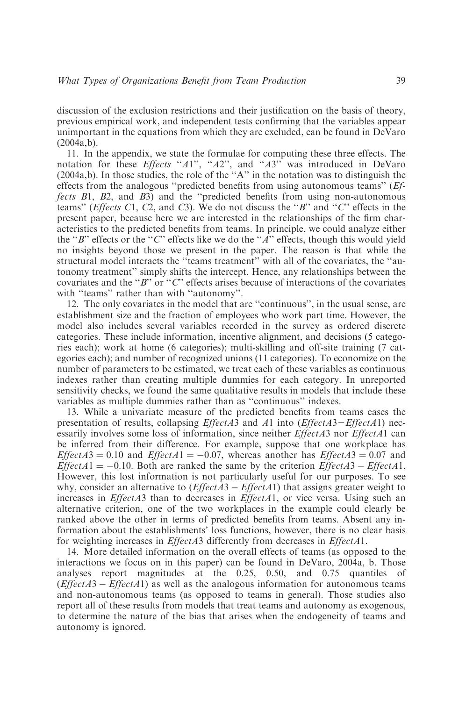discussion of the exclusion restrictions and their justification on the basis of theory, previous empirical work, and independent tests confirming that the variables appear unimportant in the equations from which they are excluded, can be found in DeVaro (2004a,b).

11. In the appendix, we state the formulae for computing these three effects. The notation for these *Effects* " $A1$ ", " $A2$ ", and " $A3$ " was introduced in DeVaro  $(2004a,b)$ . In those studies, the role of the "A" in the notation was to distinguish the effects from the analogous ''predicted benefits from using autonomous teams'' (Effects B1, B2, and B3) and the ''predicted benefits from using non-autonomous teams" (*Effects C1, C2, and C3*). We do not discuss the "B" and "C" effects in the present paper, because here we are interested in the relationships of the firm characteristics to the predicted benefits from teams. In principle, we could analyze either the "B" effects or the "C" effects like we do the "A" effects, though this would yield no insights beyond those we present in the paper. The reason is that while the structural model interacts the ''teams treatment'' with all of the covariates, the ''autonomy treatment'' simply shifts the intercept. Hence, any relationships between the covariates and the " $B$ " or " $C$ " effects arises because of interactions of the covariates with "teams" rather than with "autonomy".

12. The only covariates in the model that are ''continuous'', in the usual sense, are establishment size and the fraction of employees who work part time. However, the model also includes several variables recorded in the survey as ordered discrete categories. These include information, incentive alignment, and decisions (5 categories each); work at home (6 categories); multi-skilling and off-site training (7 categories each); and number of recognized unions (11 categories). To economize on the number of parameters to be estimated, we treat each of these variables as continuous indexes rather than creating multiple dummies for each category. In unreported sensitivity checks, we found the same qualitative results in models that include these variables as multiple dummies rather than as ''continuous'' indexes.

13. While a univariate measure of the predicted benefits from teams eases the presentation of results, collapsing *EffectA3* and A1 into (*EffectA3–EffectA*1) necessarily involves some loss of information, since neither *EffectA*3 nor *EffectA*1 can be inferred from their difference. For example, suppose that one workplace has  $Effect A3 = 0.10$  and  $Effect A1 = -0.07$ , whereas another has  $Effect A3 = 0.07$  and  $Effect A1 = -0.10$ . Both are ranked the same by the criterion  $Effect A3 - Effect A1$ . However, this lost information is not particularly useful for our purposes. To see why, consider an alternative to  $(EffectA3 - EffectA1)$  that assigns greater weight to increases in *EffectA*3 than to decreases in *EffectA*1, or vice versa. Using such an alternative criterion, one of the two workplaces in the example could clearly be ranked above the other in terms of predicted benefits from teams. Absent any information about the establishments' loss functions, however, there is no clear basis for weighting increases in *EffectA3* differently from decreases in *EffectA1*.

14. More detailed information on the overall effects of teams (as opposed to the interactions we focus on in this paper) can be found in DeVaro, 2004a, b. Those analyses report magnitudes at the 0.25, 0.50, and 0.75 quantiles of  $(EffectA3 - EffectA1)$  as well as the analogous information for autonomous teams and non-autonomous teams (as opposed to teams in general). Those studies also report all of these results from models that treat teams and autonomy as exogenous, to determine the nature of the bias that arises when the endogeneity of teams and autonomy is ignored.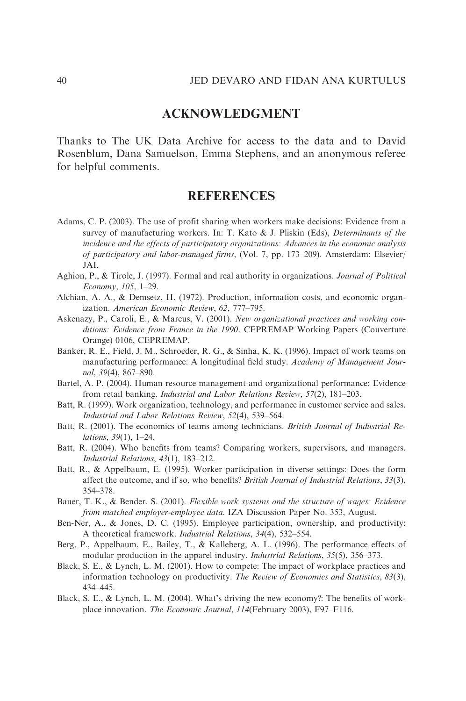#### ACKNOWLEDGMENT

Thanks to The UK Data Archive for access to the data and to David Rosenblum, Dana Samuelson, Emma Stephens, and an anonymous referee for helpful comments.

#### **REFERENCES**

- Adams, C. P. (2003). The use of profit sharing when workers make decisions: Evidence from a survey of manufacturing workers. In: T. Kato & J. Pliskin (Eds), Determinants of the incidence and the effects of participatory organizations: Advances in the economic analysis of participatory and labor-managed firms, (Vol. 7, pp. 173–209). Amsterdam: Elsevier/ JAI.
- Aghion, P., & Tirole, J. (1997). Formal and real authority in organizations. Journal of Political Economy, 105, 1–29.
- Alchian, A. A., & Demsetz, H. (1972). Production, information costs, and economic organization. American Economic Review, 62, 777–795.
- Askenazy, P., Caroli, E., & Marcus, V. (2001). New organizational practices and working conditions: Evidence from France in the 1990. CEPREMAP Working Papers (Couverture Orange) 0106, CEPREMAP.
- Banker, R. E., Field, J. M., Schroeder, R. G., & Sinha, K. K. (1996). Impact of work teams on manufacturing performance: A longitudinal field study. Academy of Management Journal, 39(4), 867–890.
- Bartel, A. P. (2004). Human resource management and organizational performance: Evidence from retail banking. Industrial and Labor Relations Review, 57(2), 181–203.
- Batt, R. (1999). Work organization, technology, and performance in customer service and sales. Industrial and Labor Relations Review, 52(4), 539–564.
- Batt, R. (2001). The economics of teams among technicians. *British Journal of Industrial Re*lations, 39(1), 1–24.
- Batt, R. (2004). Who benefits from teams? Comparing workers, supervisors, and managers. Industrial Relations, 43(1), 183–212.
- Batt, R., & Appelbaum, E. (1995). Worker participation in diverse settings: Does the form affect the outcome, and if so, who benefits? British Journal of Industrial Relations, 33(3), 354–378.
- Bauer, T. K., & Bender. S. (2001). Flexible work systems and the structure of wages: Evidence from matched employer-employee data. IZA Discussion Paper No. 353, August.
- Ben-Ner, A., & Jones, D. C. (1995). Employee participation, ownership, and productivity: A theoretical framework. Industrial Relations, 34(4), 532–554.
- Berg, P., Appelbaum, E., Bailey, T., & Kalleberg, A. L. (1996). The performance effects of modular production in the apparel industry. Industrial Relations, 35(5), 356–373.
- Black, S. E., & Lynch, L. M. (2001). How to compete: The impact of workplace practices and information technology on productivity. The Review of Economics and Statistics, 83(3), 434–445.
- Black, S. E., & Lynch, L. M. (2004). What's driving the new economy?: The benefits of workplace innovation. The Economic Journal, 114(February 2003), F97–F116.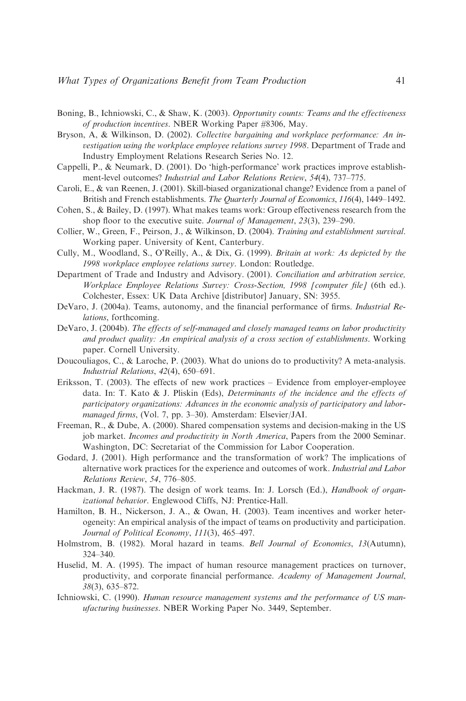- Boning, B., Ichniowski, C., & Shaw, K. (2003). Opportunity counts: Teams and the effectiveness of production incentives. NBER Working Paper #8306, May.
- Bryson, A, & Wilkinson, D. (2002). Collective bargaining and workplace performance: An investigation using the workplace employee relations survey 1998. Department of Trade and Industry Employment Relations Research Series No. 12.
- Cappelli, P., & Neumark, D. (2001). Do 'high-performance' work practices improve establishment-level outcomes? Industrial and Labor Relations Review, 54(4), 737–775.
- Caroli, E., & van Reenen, J. (2001). Skill-biased organizational change? Evidence from a panel of British and French establishments. The Quarterly Journal of Economics, 116(4), 1449–1492.
- Cohen, S., & Bailey, D. (1997). What makes teams work: Group effectiveness research from the shop floor to the executive suite. Journal of Management, 23(3), 239–290.
- Collier, W., Green, F., Peirson, J., & Wilkinson, D. (2004). Training and establishment survival. Working paper. University of Kent, Canterbury.
- Cully, M., Woodland, S., O'Reilly, A., & Dix, G. (1999). Britain at work: As depicted by the 1998 workplace employee relations survey. London: Routledge.
- Department of Trade and Industry and Advisory. (2001). Conciliation and arbitration service, Workplace Employee Relations Survey: Cross-Section, 1998 [computer file] (6th ed.). Colchester, Essex: UK Data Archive [distributor] January, SN: 3955.
- DeVaro, J. (2004a). Teams, autonomy, and the financial performance of firms. Industrial Relations, forthcoming.
- DeVaro, J. (2004b). The effects of self-managed and closely managed teams on labor productivity and product quality: An empirical analysis of a cross section of establishments. Working paper. Cornell University.
- Doucouliagos, C., & Laroche, P. (2003). What do unions do to productivity? A meta-analysis. Industrial Relations, 42(4), 650–691.
- Eriksson, T. (2003). The effects of new work practices Evidence from employer-employee data. In: T. Kato & J. Pliskin (Eds), Determinants of the incidence and the effects of participatory organizations: Advances in the economic analysis of participatory and labormanaged firms, (Vol. 7, pp. 3–30). Amsterdam: Elsevier/JAI.
- Freeman, R., & Dube, A. (2000). Shared compensation systems and decision-making in the US job market. Incomes and productivity in North America, Papers from the 2000 Seminar. Washington, DC: Secretariat of the Commission for Labor Cooperation.
- Godard, J. (2001). High performance and the transformation of work? The implications of alternative work practices for the experience and outcomes of work. Industrial and Labor Relations Review, 54, 776–805.
- Hackman, J. R. (1987). The design of work teams. In: J. Lorsch (Ed.), *Handbook of organ*izational behavior. Englewood Cliffs, NJ: Prentice-Hall.
- Hamilton, B. H., Nickerson, J. A., & Owan, H. (2003). Team incentives and worker heterogeneity: An empirical analysis of the impact of teams on productivity and participation. Journal of Political Economy, 111(3), 465–497.
- Holmstrom, B. (1982). Moral hazard in teams. Bell Journal of Economics, 13(Autumn), 324–340.
- Huselid, M. A. (1995). The impact of human resource management practices on turnover, productivity, and corporate financial performance. Academy of Management Journal, 38(3), 635–872.
- Ichniowski, C. (1990). Human resource management systems and the performance of US manufacturing businesses. NBER Working Paper No. 3449, September.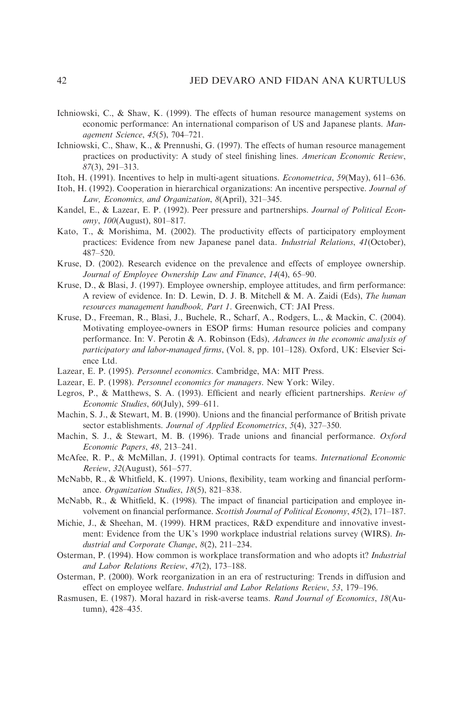- Ichniowski, C., & Shaw, K. (1999). The effects of human resource management systems on economic performance: An international comparison of US and Japanese plants. Management Science, 45(5), 704–721.
- Ichniowski, C., Shaw, K., & Prennushi, G. (1997). The effects of human resource management practices on productivity: A study of steel finishing lines. American Economic Review, 87(3), 291–313.
- Itoh, H. (1991). Incentives to help in multi-agent situations. Econometrica, 59(May), 611–636.
- Itoh, H. (1992). Cooperation in hierarchical organizations: An incentive perspective. Journal of Law, Economics, and Organization, 8(April), 321–345.
- Kandel, E., & Lazear, E. P. (1992). Peer pressure and partnerships. Journal of Political Economy, 100(August), 801–817.
- Kato, T., & Morishima, M. (2002). The productivity effects of participatory employment practices: Evidence from new Japanese panel data. Industrial Relations, 41(October), 487–520.
- Kruse, D. (2002). Research evidence on the prevalence and effects of employee ownership. Journal of Employee Ownership Law and Finance, 14(4), 65–90.
- Kruse, D., & Blasi, J. (1997). Employee ownership, employee attitudes, and firm performance: A review of evidence. In: D. Lewin, D. J. B. Mitchell & M. A. Zaidi (Eds), The human resources management handbook, Part 1. Greenwich, CT: JAI Press.
- Kruse, D., Freeman, R., Blasi, J., Buchele, R., Scharf, A., Rodgers, L., & Mackin, C. (2004). Motivating employee-owners in ESOP firms: Human resource policies and company performance. In: V. Perotin & A. Robinson (Eds), Advances in the economic analysis of participatory and labor-managed firms, (Vol. 8, pp. 101-128). Oxford, UK: Elsevier Science Ltd.
- Lazear, E. P. (1995). Personnel economics. Cambridge, MA: MIT Press.
- Lazear, E. P. (1998). Personnel economics for managers. New York: Wiley.
- Legros, P., & Matthews, S. A. (1993). Efficient and nearly efficient partnerships. Review of Economic Studies, 60(July), 599–611.
- Machin, S. J., & Stewart, M. B. (1990). Unions and the financial performance of British private sector establishments. Journal of Applied Econometrics, 5(4), 327–350.
- Machin, S. J., & Stewart, M. B. (1996). Trade unions and financial performance. Oxford Economic Papers, 48, 213–241.
- McAfee, R. P., & McMillan, J. (1991). Optimal contracts for teams. International Economic Review, 32(August), 561–577.
- McNabb, R., & Whitfield, K. (1997). Unions, flexibility, team working and financial performance. Organization Studies, 18(5), 821–838.
- McNabb, R., & Whitfield, K. (1998). The impact of financial participation and employee involvement on financial performance. Scottish Journal of Political Economy, 45(2), 171–187.
- Michie, J., & Sheehan, M. (1999). HRM practices, R&D expenditure and innovative investment: Evidence from the UK's 1990 workplace industrial relations survey (WIRS). Industrial and Corporate Change, 8(2), 211–234.
- Osterman, P. (1994). How common is workplace transformation and who adopts it? Industrial and Labor Relations Review, 47(2), 173–188.
- Osterman, P. (2000). Work reorganization in an era of restructuring: Trends in diffusion and effect on employee welfare. Industrial and Labor Relations Review, 53, 179–196.
- Rasmusen, E. (1987). Moral hazard in risk-averse teams. Rand Journal of Economics, 18(Autumn), 428–435.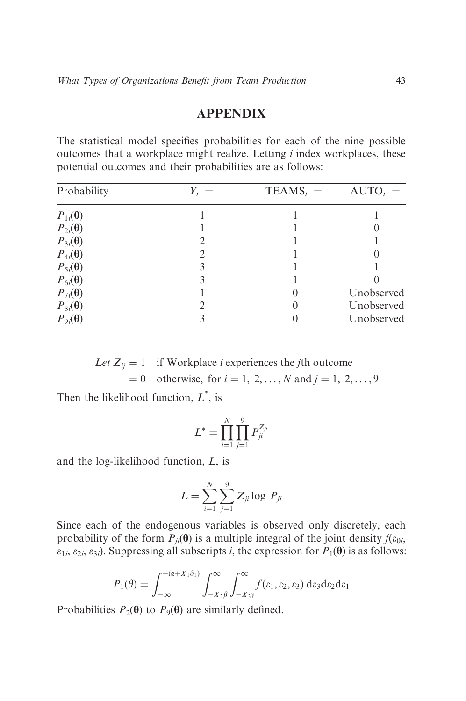#### APPENDIX

The statistical model specifies probabilities for each of the nine possible outcomes that a workplace might realize. Letting  $i$  index workplaces, these potential outcomes and their probabilities are as follows:

| Probability      | $Y_i =$ | $TEAMS_i =$ | $AUTO_i =$ |
|------------------|---------|-------------|------------|
| $P_{1i}(\theta)$ |         |             |            |
| $P_{2i}(\theta)$ |         |             |            |
| $P_{3i}(\theta)$ |         |             |            |
| $P_{4i}(\theta)$ |         |             |            |
| $P_{5i}(\theta)$ |         |             |            |
| $P_{6i}(\theta)$ |         |             |            |
| $P_{7i}(\theta)$ |         |             | Unobserved |
| $P_{8i}(\theta)$ |         |             | Unobserved |
| $P_{9i}(\theta)$ |         |             | Unobserved |

Let  $Z_{ij} = 1$  if Workplace *i* experiences the *j*th outcome  $= 0$  otherwise, for  $i = 1, 2, ..., N$  and  $j = 1, 2, ..., 9$ 

Then the likelihood function,  $L^*$ , is

$$
L^* = \prod_{i=1}^N \prod_{j=1}^9 P_{ji}^{Z_{ji}}
$$

and the log-likelihood function, L, is

$$
L = \sum_{i=1}^{N} \sum_{j=1}^{9} Z_{ji} \log P_{ji}
$$

Since each of the endogenous variables is observed only discretely, each probability of the form  $P_{ii}(\theta)$  is a multiple integral of the joint density  $f(\varepsilon_{0i},$  $\varepsilon_{1i}$ ,  $\varepsilon_{2i}$ ,  $\varepsilon_{3i}$ ). Suppressing all subscripts *i*, the expression for  $P_1(\theta)$  is as follows:

$$
P_1(\theta) = \int_{-\infty}^{-(\alpha+X_1\delta_1)} \int_{-X_2\beta}^{\infty} \int_{-X_3\gamma}^{\infty} f(\varepsilon_1, \varepsilon_2, \varepsilon_3) d\varepsilon_3 d\varepsilon_2 d\varepsilon_1
$$

Probabilities  $P_2(\theta)$  to  $P_9(\theta)$  are similarly defined.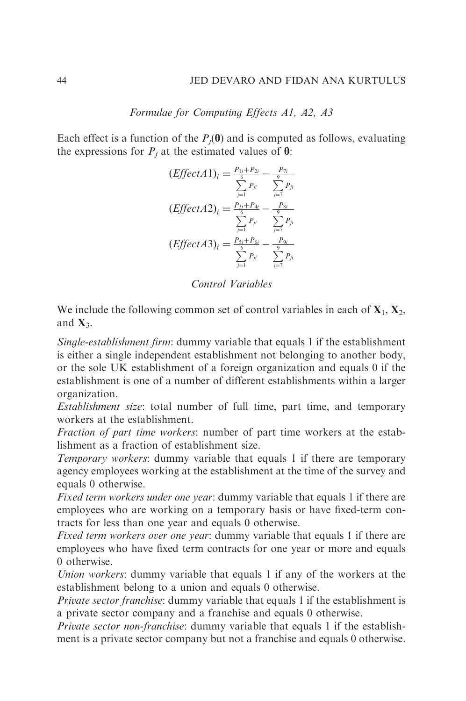#### 44 JED DEVARO AND FIDAN ANA KURTULUS

#### Formulae for Computing Effects A1, A2, A3

Each effect is a function of the  $P_i(\theta)$  and is computed as follows, evaluating the expressions for  $P_i$  at the estimated values of  $\theta$ :

$$
(Effect A1)i = \frac{P_{1i} + P_{2i}}{\sum_{j=1}^{6} P_{ji}} - \frac{P_{7i}}{\sum_{j=7}^{6} P_{ji}}
$$

$$
(Effect A2)i = \frac{P_{3i} + P_{4i}}{\sum_{j=1}^{6} P_{ji}} - \frac{P_{8i}}{\sum_{j=7}^{9} P_{ji}}
$$

$$
(Effect A3)i = \frac{P_{5i} + P_{6i}}{\sum_{j=1}^{6} P_{ji}} - \frac{P_{9i}}{\sum_{j=7}^{9} P_{ji}}
$$

Control Variables

We include the following common set of control variables in each of  $X_1, X_2,$ and  $X_3$ .

Single-establishment firm: dummy variable that equals 1 if the establishment is either a single independent establishment not belonging to another body, or the sole UK establishment of a foreign organization and equals 0 if the establishment is one of a number of different establishments within a larger organization.

Establishment size: total number of full time, part time, and temporary workers at the establishment.

Fraction of part time workers: number of part time workers at the establishment as a fraction of establishment size.

Temporary workers: dummy variable that equals 1 if there are temporary agency employees working at the establishment at the time of the survey and equals 0 otherwise.

Fixed term workers under one year: dummy variable that equals 1 if there are employees who are working on a temporary basis or have fixed-term contracts for less than one year and equals 0 otherwise.

Fixed term workers over one year: dummy variable that equals 1 if there are employees who have fixed term contracts for one year or more and equals 0 otherwise.

Union workers: dummy variable that equals 1 if any of the workers at the establishment belong to a union and equals 0 otherwise.

Private sector franchise: dummy variable that equals 1 if the establishment is a private sector company and a franchise and equals 0 otherwise.

Private sector non-franchise: dummy variable that equals 1 if the establishment is a private sector company but not a franchise and equals 0 otherwise.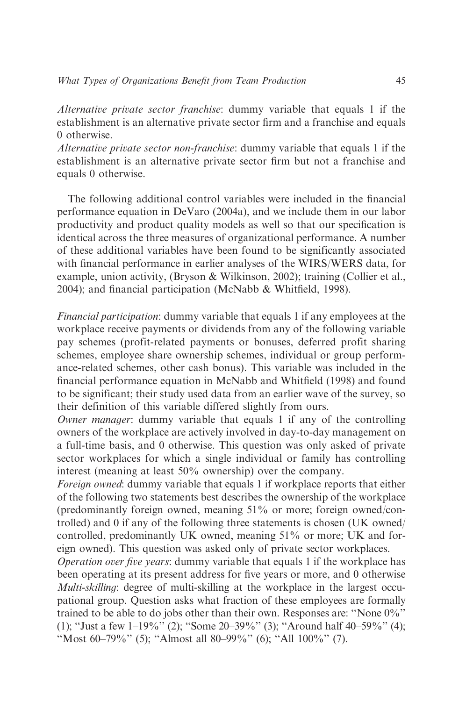Alternative private sector franchise: dummy variable that equals 1 if the establishment is an alternative private sector firm and a franchise and equals 0 otherwise.

Alternative private sector non-franchise: dummy variable that equals 1 if the establishment is an alternative private sector firm but not a franchise and equals 0 otherwise.

The following additional control variables were included in the financial performance equation in DeVaro (2004a), and we include them in our labor productivity and product quality models as well so that our specification is identical across the three measures of organizational performance. A number of these additional variables have been found to be significantly associated with financial performance in earlier analyses of the WIRS/WERS data, for example, union activity, (Bryson & Wilkinson, 2002); training (Collier et al., 2004); and financial participation (McNabb & Whitfield, 1998).

Financial participation: dummy variable that equals 1 if any employees at the workplace receive payments or dividends from any of the following variable pay schemes (profit-related payments or bonuses, deferred profit sharing schemes, employee share ownership schemes, individual or group performance-related schemes, other cash bonus). This variable was included in the financial performance equation in McNabb and Whitfield (1998) and found to be significant; their study used data from an earlier wave of the survey, so their definition of this variable differed slightly from ours.

Owner manager: dummy variable that equals 1 if any of the controlling owners of the workplace are actively involved in day-to-day management on a full-time basis, and 0 otherwise. This question was only asked of private sector workplaces for which a single individual or family has controlling interest (meaning at least 50% ownership) over the company.

Foreign owned: dummy variable that equals 1 if workplace reports that either of the following two statements best describes the ownership of the workplace (predominantly foreign owned, meaning 51% or more; foreign owned/controlled) and 0 if any of the following three statements is chosen (UK owned/ controlled, predominantly UK owned, meaning 51% or more; UK and foreign owned). This question was asked only of private sector workplaces.

Operation over five years: dummy variable that equals 1 if the workplace has been operating at its present address for five years or more, and 0 otherwise Multi-skilling: degree of multi-skilling at the workplace in the largest occupational group. Question asks what fraction of these employees are formally trained to be able to do jobs other than their own. Responses are: ''None 0%'' (1); ''Just a few 1–19%'' (2); ''Some 20–39%'' (3); ''Around half 40–59%'' (4); "Most 60–79%" (5); "Almost all 80–99%" (6); "All 100%" (7).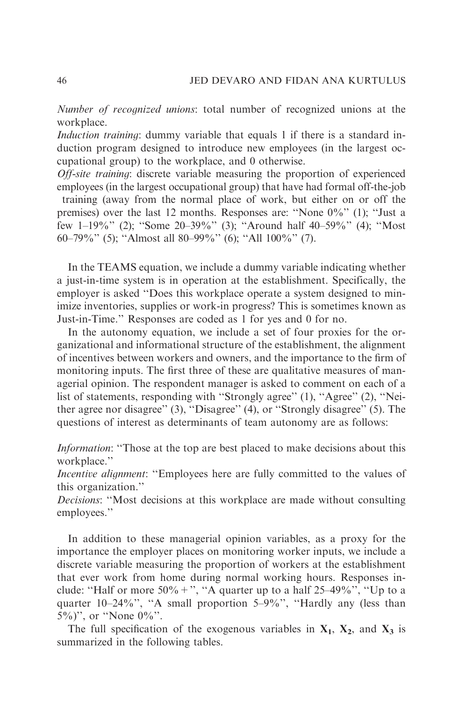Number of recognized unions: total number of recognized unions at the workplace.

Induction training: dummy variable that equals 1 if there is a standard induction program designed to introduce new employees (in the largest occupational group) to the workplace, and 0 otherwise.

Off-site training: discrete variable measuring the proportion of experienced employees (in the largest occupational group) that have had formal off-the-job training (away from the normal place of work, but either on or off the premises) over the last 12 months. Responses are: ''None 0%'' (1); ''Just a few 1–19%'' (2); ''Some 20–39%'' (3); ''Around half 40–59%'' (4); ''Most 60–79%'' (5); ''Almost all 80–99%'' (6); ''All 100%'' (7).

In the TEAMS equation, we include a dummy variable indicating whether a just-in-time system is in operation at the establishment. Specifically, the employer is asked ''Does this workplace operate a system designed to minimize inventories, supplies or work-in progress? This is sometimes known as Just-in-Time.'' Responses are coded as 1 for yes and 0 for no.

In the autonomy equation, we include a set of four proxies for the organizational and informational structure of the establishment, the alignment of incentives between workers and owners, and the importance to the firm of monitoring inputs. The first three of these are qualitative measures of managerial opinion. The respondent manager is asked to comment on each of a list of statements, responding with "Strongly agree" (1), "Agree" (2), "Neither agree nor disagree'' (3), ''Disagree'' (4), or ''Strongly disagree'' (5). The questions of interest as determinants of team autonomy are as follows:

Information: ''Those at the top are best placed to make decisions about this workplace.''

Incentive alignment: ''Employees here are fully committed to the values of this organization.''

Decisions: ''Most decisions at this workplace are made without consulting employees.''

In addition to these managerial opinion variables, as a proxy for the importance the employer places on monitoring worker inputs, we include a discrete variable measuring the proportion of workers at the establishment that ever work from home during normal working hours. Responses include: "Half or more  $50\% +$ ", "A quarter up to a half 25–49%", "Up to a quarter  $10-24\%$ ", "A small proportion  $5-9\%$ ", "Hardly any (less than 5%)'', or ''None 0%''.

The full specification of the exogenous variables in  $X_1$ ,  $X_2$ , and  $X_3$  is summarized in the following tables.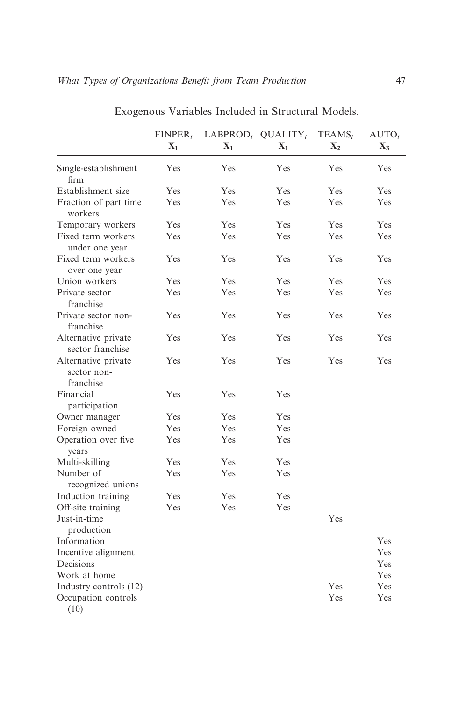|                                                 | $FINPER_i$<br>$X_1$ | $\mathbf{X}_1$ | $LABPROD_i$ QUALITY <sub>i</sub><br>$\mathbf{X}_1$ | $TEAMS_i$<br>$X_2$ | $\text{AUTO}_i$<br>$X_3$ |
|-------------------------------------------------|---------------------|----------------|----------------------------------------------------|--------------------|--------------------------|
| Single-establishment<br>firm                    | Yes                 | Yes            | Yes                                                | Yes                | Yes                      |
| Establishment size                              | Yes                 | Yes            | Yes                                                | Yes                | Yes                      |
| Fraction of part time<br>workers                | Yes                 | Yes            | Yes                                                | Yes                | Yes                      |
| Temporary workers                               | Yes                 | Yes            | Yes                                                | Yes                | Yes                      |
| Fixed term workers<br>under one year            | Yes                 | Yes            | Yes                                                | <b>Yes</b>         | <b>Yes</b>               |
| Fixed term workers<br>over one year             | Yes                 | Yes            | Yes                                                | Yes                | Yes                      |
| Union workers                                   | Yes                 | Yes            | Yes                                                | <b>Yes</b>         | Yes                      |
| Private sector<br>franchise                     | <b>Yes</b>          | Yes            | Yes                                                | Yes                | <b>Yes</b>               |
| Private sector non-<br>franchise                | Yes                 | Yes            | Yes                                                | Yes                | Yes                      |
| Alternative private<br>sector franchise         | Yes                 | Yes            | Yes                                                | Yes                | Yes                      |
| Alternative private<br>sector non-<br>franchise | Yes                 | Yes            | Yes                                                | Yes                | Yes                      |
| Financial<br>participation                      | Yes                 | Yes            | Yes                                                |                    |                          |
| Owner manager                                   | Yes                 | Yes            | Yes                                                |                    |                          |
| Foreign owned                                   | Yes                 | Yes            | Yes                                                |                    |                          |
| Operation over five<br>years                    | Yes                 | Yes            | Yes                                                |                    |                          |
| Multi-skilling                                  | Yes                 | Yes            | Yes                                                |                    |                          |
| Number of<br>recognized unions                  | Yes                 | Yes            | Yes                                                |                    |                          |
| Induction training                              | Yes                 | Yes            | Yes                                                |                    |                          |
| Off-site training                               | Yes                 | Yes            | Yes                                                |                    |                          |
| Just-in-time<br>production                      |                     |                |                                                    | Yes                |                          |
| Information                                     |                     |                |                                                    |                    | <b>Yes</b>               |
| Incentive alignment                             |                     |                |                                                    |                    | Yes                      |
| Decisions                                       |                     |                |                                                    |                    | Yes                      |
| Work at home                                    |                     |                |                                                    |                    | Yes                      |
| Industry controls (12)                          |                     |                |                                                    | Yes                | Yes                      |
| Occupation controls<br>(10)                     |                     |                |                                                    | Yes                | Yes                      |

Exogenous Variables Included in Structural Models.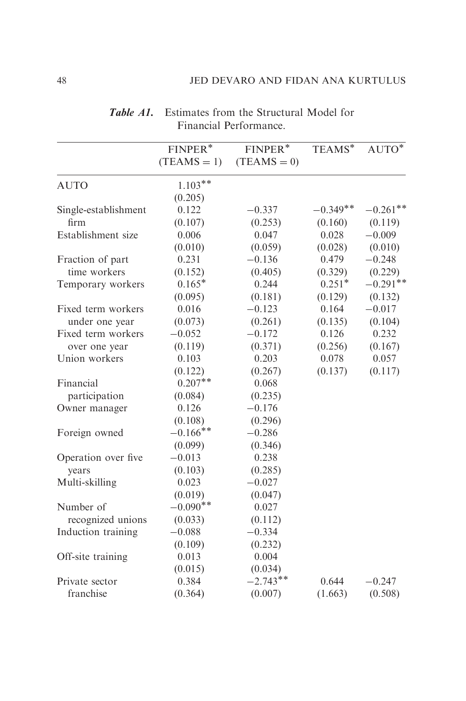#### 48 JED DEVARO AND FIDAN ANA KURTULUS

|                      | FINPER*       | FINPER*       | TEAMS*     | AUTO <sup>*</sup> |
|----------------------|---------------|---------------|------------|-------------------|
|                      | $(TEAMS = 1)$ | $(TEAMS = 0)$ |            |                   |
| <b>AUTO</b>          | $1.103**$     |               |            |                   |
|                      | (0.205)       |               |            |                   |
| Single-establishment | 0.122         | $-0.337$      | $-0.349**$ | $-0.261$ **       |
| firm                 | (0.107)       | (0.253)       | (0.160)    | (0.119)           |
| Establishment size   | 0.006         | 0.047         | 0.028      | $-0.009$          |
|                      | (0.010)       | (0.059)       | (0.028)    | (0.010)           |
| Fraction of part     | 0.231         | $-0.136$      | 0.479      | $-0.248$          |
| time workers         | (0.152)       | (0.405)       | (0.329)    | (0.229)           |
| Temporary workers    | $0.165*$      | 0.244         | $0.251*$   | $-0.291$ **       |
|                      | (0.095)       | (0.181)       | (0.129)    | (0.132)           |
| Fixed term workers   | 0.016         | $-0.123$      | 0.164      | $-0.017$          |
| under one year       | (0.073)       | (0.261)       | (0.135)    | (0.104)           |
| Fixed term workers   | $-0.052$      | $-0.172$      | 0.126      | 0.232             |
| over one year        | (0.119)       | (0.371)       | (0.256)    | (0.167)           |
| Union workers        | 0.103         | 0.203         | 0.078      | 0.057             |
|                      | (0.122)       | (0.267)       | (0.137)    | (0.117)           |
| Financial            | $0.207**$     | 0.068         |            |                   |
| participation        | (0.084)       | (0.235)       |            |                   |
| Owner manager        | 0.126         | $-0.176$      |            |                   |
|                      | (0.108)       | (0.296)       |            |                   |
| Foreign owned        | $-0.166$ **   | $-0.286$      |            |                   |
|                      | (0.099)       | (0.346)       |            |                   |
| Operation over five  | $-0.013$      | 0.238         |            |                   |
| years                | (0.103)       | (0.285)       |            |                   |
| Multi-skilling       | 0.023         | $-0.027$      |            |                   |
|                      | (0.019)       | (0.047)       |            |                   |
| Number of            | $-0.090**$    | 0.027         |            |                   |
| recognized unions    | (0.033)       | (0.112)       |            |                   |
| Induction training   | $-0.088$      | $-0.334$      |            |                   |
|                      | (0.109)       | (0.232)       |            |                   |
| Off-site training    | 0.013         | 0.004         |            |                   |
|                      | (0.015)       | (0.034)       |            |                   |
| Private sector       | 0.384         | $-2.743**$    | 0.644      | $-0.247$          |
| franchise            | (0.364)       | (0.007)       | (1.663)    | (0.508)           |

Table A1. Estimates from the Structural Model for Financial Performance.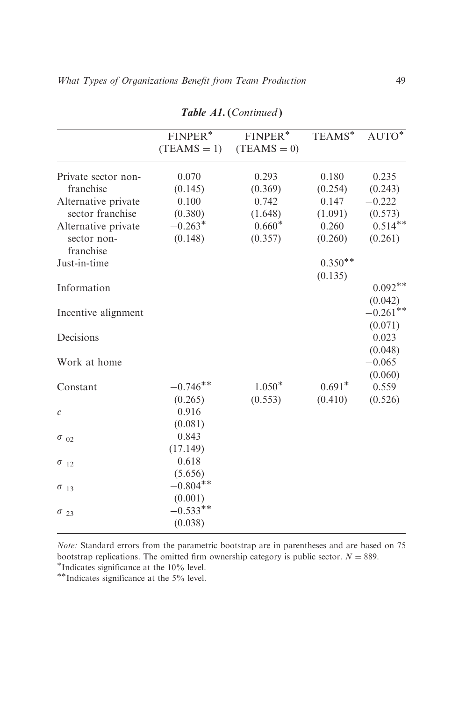|                          | FINPER*       | FINPER*       | TEAMS*    | $AUTO^*$    |
|--------------------------|---------------|---------------|-----------|-------------|
|                          | $(TEAMS = 1)$ | $(TEAMS = 0)$ |           |             |
| Private sector non-      | 0.070         | 0.293         | 0.180     | 0.235       |
| franchise                | (0.145)       | (0.369)       | (0.254)   | (0.243)     |
| Alternative private      | 0.100         | 0.742         | 0.147     | $-0.222$    |
| sector franchise         | (0.380)       | (1.648)       | (1.091)   | (0.573)     |
| Alternative private      | $-0.263*$     | $0.660*$      | 0.260     | $0.514***$  |
| sector non-<br>franchise | (0.148)       | (0.357)       | (0.260)   | (0.261)     |
| Just-in-time             |               |               | $0.350**$ |             |
|                          |               |               | (0.135)   |             |
| Information              |               |               |           | $0.092**$   |
|                          |               |               |           | (0.042)     |
| Incentive alignment      |               |               |           | $-0.261$ ** |
|                          |               |               |           | (0.071)     |
| Decisions                |               |               |           | 0.023       |
|                          |               |               |           | (0.048)     |
| Work at home             |               |               |           | $-0.065$    |
|                          |               |               |           | (0.060)     |
| Constant                 | $-0.746**$    | $1.050*$      | $0.691*$  | 0.559       |
|                          | (0.265)       | (0.553)       | (0.410)   | (0.526)     |
| $\mathcal{C}$            | 0.916         |               |           |             |
|                          | (0.081)       |               |           |             |
| $\sigma$ 02              | 0.843         |               |           |             |
|                          | (17.149)      |               |           |             |
| $\sigma$ 12              | 0.618         |               |           |             |
|                          | (5.656)       |               |           |             |
| $\sigma$ 13              | $-0.804**$    |               |           |             |
|                          | (0.001)       |               |           |             |
| $\sigma_{23}$            | $-0.533**$    |               |           |             |
|                          | (0.038)       |               |           |             |

Table A1. (Continued)

Note: Standard errors from the parametric bootstrap are in parentheses and are based on 75 bootstrap replications. The omitted firm ownership category is public sector.  $N = 889$ .<br>\*Indicates significance at the 10% level.

\*\*Indicates significance at the 5% level.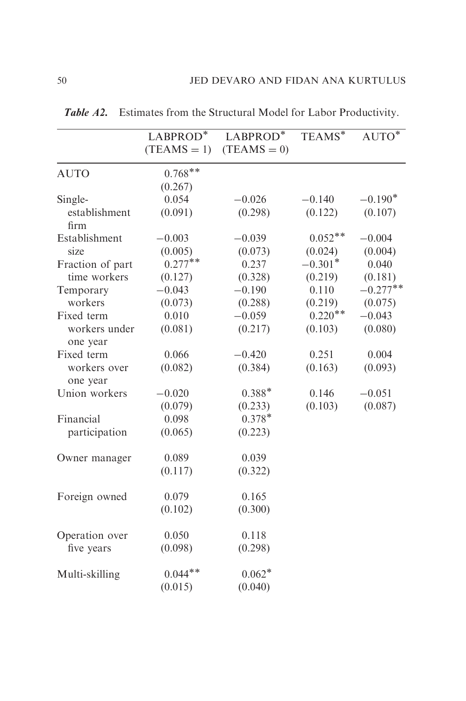|                           | LABPROD*<br>$(TEAMS = 1)$ | LABPROD*<br>$(TEAMS = 0)$ | TEAMS*    | AUTO*      |
|---------------------------|---------------------------|---------------------------|-----------|------------|
| <b>AUTO</b>               | $0.768**$                 |                           |           |            |
|                           | (0.267)                   |                           |           |            |
| Single-                   | 0.054                     | $-0.026$                  | $-0.140$  | $-0.190*$  |
| establishment<br>firm     | (0.091)                   | (0.298)                   | (0.122)   | (0.107)    |
| Establishment             | $-0.003$                  | $-0.039$                  | $0.052**$ | $-0.004$   |
| size                      | (0.005)                   | (0.073)                   | (0.024)   | (0.004)    |
| Fraction of part          | $0.277**$                 | 0.237                     | $-0.301*$ | 0.040      |
| time workers              | (0.127)                   | (0.328)                   | (0.219)   | (0.181)    |
| Temporary                 | $-0.043$                  | $-0.190$                  | 0.110     | $-0.277**$ |
| workers                   | (0.073)                   | (0.288)                   | (0.219)   | (0.075)    |
| Fixed term                | 0.010                     | $-0.059$                  | $0.220**$ | $-0.043$   |
| workers under<br>one year | (0.081)                   | (0.217)                   | (0.103)   | (0.080)    |
| Fixed term                | 0.066                     | $-0.420$                  | 0.251     | 0.004      |
| workers over<br>one year  | (0.082)                   | (0.384)                   | (0.163)   | (0.093)    |
| Union workers             | $-0.020$                  | $0.388*$                  | 0.146     | $-0.051$   |
|                           | (0.079)                   | (0.233)                   | (0.103)   | (0.087)    |
| Financial                 | 0.098                     | $0.378*$                  |           |            |
| participation             | (0.065)                   | (0.223)                   |           |            |
| Owner manager             | 0.089                     | 0.039                     |           |            |
|                           | (0.117)                   | (0.322)                   |           |            |
| Foreign owned             | 0.079                     | 0.165                     |           |            |
|                           | (0.102)                   | (0.300)                   |           |            |
| Operation over            | 0.050                     | 0.118                     |           |            |
| five years                | (0.098)                   | (0.298)                   |           |            |
| Multi-skilling            | $0.044**$                 | $0.062*$                  |           |            |
|                           | (0.015)                   | (0.040)                   |           |            |

Table A2. Estimates from the Structural Model for Labor Productivity.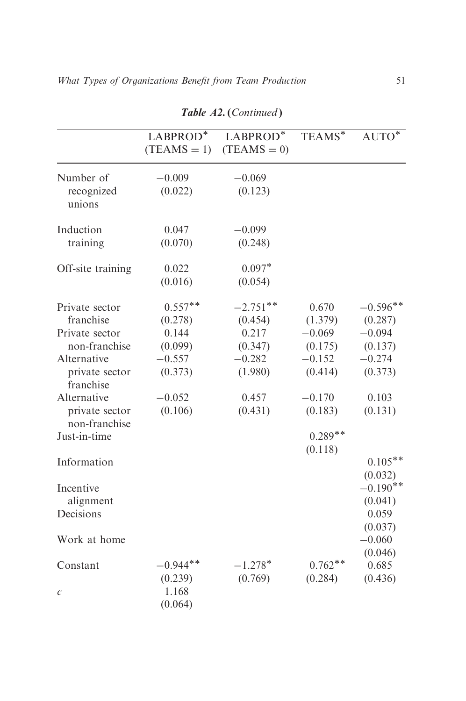|                                                                                                                                                                                               | LABPROD*<br>$(TEAMS = 1)$                                                               | LABPROD*<br>$(TEAMS = 0)$                                                             | TEAMS*                                                                                                        | AUTO*                                                                                                 |
|-----------------------------------------------------------------------------------------------------------------------------------------------------------------------------------------------|-----------------------------------------------------------------------------------------|---------------------------------------------------------------------------------------|---------------------------------------------------------------------------------------------------------------|-------------------------------------------------------------------------------------------------------|
| Number of<br>recognized<br>unions                                                                                                                                                             | $-0.009$<br>(0.022)                                                                     | $-0.069$<br>(0.123)                                                                   |                                                                                                               |                                                                                                       |
| Induction<br>training                                                                                                                                                                         | 0.047<br>(0.070)                                                                        | $-0.099$<br>(0.248)                                                                   |                                                                                                               |                                                                                                       |
| Off-site training                                                                                                                                                                             | 0.022<br>(0.016)                                                                        | $0.097*$<br>(0.054)                                                                   |                                                                                                               |                                                                                                       |
| Private sector<br>franchise<br>Private sector<br>non-franchise<br>Alternative<br>private sector<br>franchise<br>Alternative<br>private sector<br>non-franchise<br>Just-in-time<br>Information | $0.557***$<br>(0.278)<br>0.144<br>(0.099)<br>$-0.557$<br>(0.373)<br>$-0.052$<br>(0.106) | $-2.751$ **<br>(0.454)<br>0.217<br>(0.347)<br>$-0.282$<br>(1.980)<br>0.457<br>(0.431) | 0.670<br>(1.379)<br>$-0.069$<br>(0.175)<br>$-0.152$<br>(0.414)<br>$-0.170$<br>(0.183)<br>$0.289**$<br>(0.118) | $-0.596**$<br>(0.287)<br>$-0.094$<br>(0.137)<br>$-0.274$<br>(0.373)<br>0.103<br>(0.131)<br>$0.105***$ |
| Incentive<br>alignment<br>Decisions<br>Work at home                                                                                                                                           |                                                                                         |                                                                                       |                                                                                                               | (0.032)<br>$-0.190**$<br>(0.041)<br>0.059<br>(0.037)<br>$-0.060$                                      |
| Constant<br>$\mathcal{C}_{0}^{0}$                                                                                                                                                             | $-0.944**$<br>(0.239)<br>1.168<br>(0.064)                                               | $-1.278*$<br>(0.769)                                                                  | $0.762**$<br>(0.284)                                                                                          | (0.046)<br>0.685<br>(0.436)                                                                           |

Table A2. (Continued)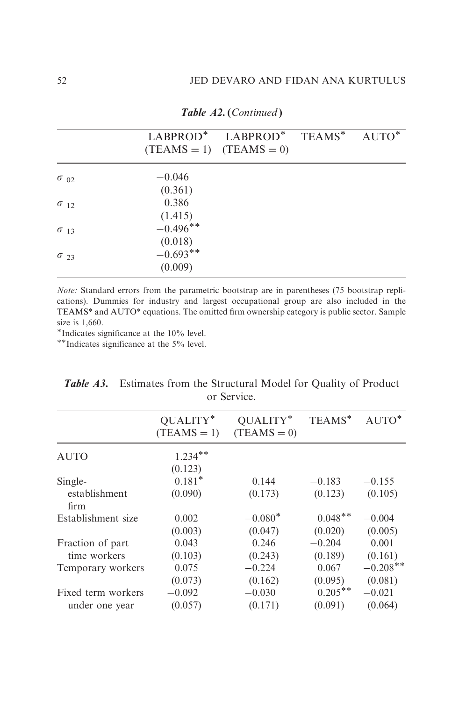|                        |            | LABPROD* LABPROD* TEAMS*<br>$(TEAMS = 1)$ $(TEAMS = 0)$ | AUTO <sup>*</sup> |
|------------------------|------------|---------------------------------------------------------|-------------------|
| $\sigma$ <sub>02</sub> | $-0.046$   |                                                         |                   |
|                        | (0.361)    |                                                         |                   |
| $\sigma$ 12            | 0.386      |                                                         |                   |
|                        | (1.415)    |                                                         |                   |
| $\sigma$ 13            | $-0.496**$ |                                                         |                   |
|                        | (0.018)    |                                                         |                   |
| $\sigma_{23}$          | $-0.693**$ |                                                         |                   |
|                        | (0.009)    |                                                         |                   |

Table A2. (Continued)

Note: Standard errors from the parametric bootstrap are in parentheses (75 bootstrap replications). Dummies for industry and largest occupational group are also included in the TEAMS\* and AUTO\* equations. The omitted firm ownership category is public sector. Sample size is 1,660.

Indicates significance at the 10% level.

\*\*Indicates significance at the 5% level.

|                                  | QUALITY*<br>$(TEAMS = 1)$ | QUALITY*<br>$(TEAMS = 0)$ | TEAMS*              | AUTO <sup>*</sup>   |
|----------------------------------|---------------------------|---------------------------|---------------------|---------------------|
| <b>AUTO</b>                      | $1.234***$<br>(0.123)     |                           |                     |                     |
| Single-<br>establishment<br>firm | $0.181*$<br>(0.090)       | 0.144<br>(0.173)          | $-0.183$<br>(0.123) | $-0.155$<br>(0.105) |
| Establishment size               | 0.002                     | $-0.080*$                 | $0.048***$          | $-0.004$            |
|                                  | (0.003)                   | (0.047)                   | (0.020)             | (0.005)             |
| Fraction of part                 | 0.043                     | 0.246                     | $-0.204$            | 0.001               |
| time workers                     | (0.103)                   | (0.243)                   | (0.189)             | (0.161)             |
| Temporary workers                | 0.075                     | $-0.224$                  | 0.067               | $-0.208**$          |
|                                  | (0.073)                   | (0.162)                   | (0.095)             | (0.081)             |
| Fixed term workers               | $-0.092$                  | $-0.030$                  | $0.205***$          | $-0.021$            |
| under one year                   | (0.057)                   | (0.171)                   | (0.091)             | (0.064)             |

Table A3. Estimates from the Structural Model for Quality of Product or Service.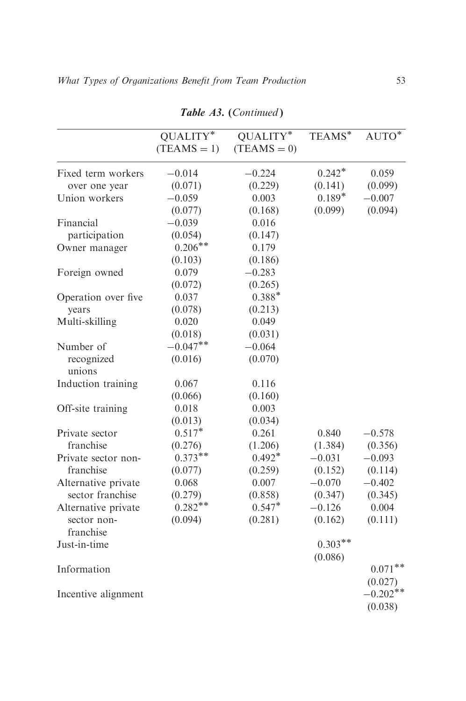|                      | QUALITY*<br>$(TEAMS = 1)$ | QUALITY*<br>$(TEAMS = 0)$ | TEAMS*    | $\mbox{AUTO}^*$ |
|----------------------|---------------------------|---------------------------|-----------|-----------------|
| Fixed term workers   | $-0.014$                  | $-0.224$                  | $0.242*$  | 0.059           |
| over one year        | (0.071)                   | (0.229)                   | (0.141)   | (0.099)         |
| Union workers        | $-0.059$                  | 0.003                     | $0.189*$  | $-0.007$        |
|                      | (0.077)                   | (0.168)                   | (0.099)   | (0.094)         |
| Financial            | $-0.039$                  | 0.016                     |           |                 |
| participation        | (0.054)                   | (0.147)                   |           |                 |
| Owner manager        | $0.206***$                | 0.179                     |           |                 |
|                      | (0.103)                   | (0.186)                   |           |                 |
| Foreign owned        | 0.079                     | $-0.283$                  |           |                 |
|                      | (0.072)                   | (0.265)                   |           |                 |
| Operation over five  | 0.037                     | $0.388*$                  |           |                 |
| years                | (0.078)                   | (0.213)                   |           |                 |
| Multi-skilling       | 0.020                     | 0.049                     |           |                 |
|                      | (0.018)                   | (0.031)                   |           |                 |
| Number of            | $-0.047**$                | $-0.064$                  |           |                 |
| recognized<br>unions | (0.016)                   | (0.070)                   |           |                 |
| Induction training   | 0.067                     | 0.116                     |           |                 |
|                      | (0.066)                   | (0.160)                   |           |                 |
| Off-site training    | 0.018                     | 0.003                     |           |                 |
|                      | (0.013)                   | (0.034)                   |           |                 |
| Private sector       | $0.517*$                  | 0.261                     | 0.840     | $-0.578$        |
| franchise            | (0.276)                   | (1.206)                   | (1.384)   | (0.356)         |
| Private sector non-  | $0.373**$                 | $0.492*$                  | $-0.031$  | $-0.093$        |
| franchise            | (0.077)                   | (0.259)                   | (0.152)   | (0.114)         |
| Alternative private  | 0.068                     | 0.007                     | $-0.070$  | $-0.402$        |
| sector franchise     | (0.279)                   | (0.858)                   | (0.347)   | (0.345)         |
| Alternative private  | $0.282**$                 | $0.547*$                  | $-0.126$  | 0.004           |
| sector non-          | (0.094)                   | (0.281)                   | (0.162)   | (0.111)         |
| franchise            |                           |                           |           |                 |
| Just-in-time         |                           |                           | $0.303**$ |                 |
|                      |                           |                           | (0.086)   |                 |
| Information          |                           |                           |           | $0.071**$       |
|                      |                           |                           |           | (0.027)         |
| Incentive alignment  |                           |                           |           | $-0.202**$      |
|                      |                           |                           |           | (0.038)         |

Table A3. (Continued)